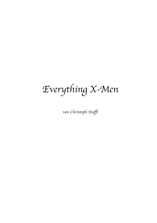# *Everything X-Men*

*von Christoph Staffl*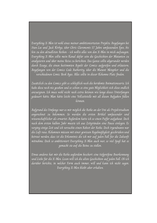Everything X-Men ist wohl eines meiner ambitioniertesten Projekte. Angefangen bei Stan Lee und Jack Kirbys, über Chris Claremonts 17 Jahre umfassenden Epos, bis hin zu den aktuellsten Reihen - ich wollte alles von den X-Men in mich aufsaugen. Everything X-Men sollte mein Kanal dafür sein die Geschichten der Mutanten zu analysieren und über meine Reise zu berichten. Das Ganze sollte abgerundet werden durch Essays, die einen bestimmten Aspekt der Comics aufgreifen und erläutern. Angefangen von der Comics Code Authority, über die Mutant Metaphor und die verschiedenen Comic Book Ages. Alles sollte in dieser Kolumne Platz finden.

Zusätzlich zu den Comics gibt es schließlich noch die berühmte Animationsserie. Ich habe diese noch nie gesehen und so schien es eine gute Möglichkeit sich diese endlich anzueignen. Ich muss wohl nicht noch extra betonen wie lange dieses Unterfangen gedauert hätte. Man hätte leicht eine Vollzeitstelle mit all diesen Aufgaben füllen können.

Aufgrund des Umfangs war es mir möglich die Reihe an der Uni als Projektstudium angerechnet zu bekommen. So wurden die ersten Artikel umfassender und wissenschaftlicher als erwartet. Außerdem hatte ich so einen Puffer aufgebaut. Doch nach dem ersten halben Jahr musste ich aus Zeitgründen eine Pause einlegen. Es verging einige Zeit und ich versuchte einen Reboot der Reihe. Doch irgendwann war die Luft raus. Kolumnen müssen mit einer gewissen Regelmäßigkeit geschrieben und betreut werden, dass ist die Erkenntnis die ich mir auf jeden Fall für die Zukunft mitnehme. Doch so ambitioniert Everything X-Men auch war, so viel Spaß hat es gemacht sie auf die Beine zu stellen.

Etwas anderes hat mir die Reihe außerdem beschert: eine tiefgreifene Anerkennung und Liebe für die X-Men. Lesen will ich die alten Geschichten auf jeden Fall. Ob ich darüber berichte, in welcher Form auch immer, will und kann ich nicht sagen. Everything X-Men bleibt aber erhalten.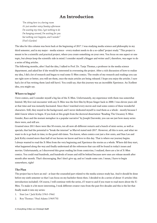# **An Introduction**

*"I'm sitting here in a boring room it's just another rainy Sunday afternoon I'm wasting my time, I got nothing to do I'm hanging around, I'm waiting for you but nothing ever happens, and I wonder" (Fool's Garden)*

The idea for this column was born back at the beginning of 2017. I was studying media science and philosophy in my third semester, and in my major - media science - every student needs to do a so-called "project study." This project is meant to be a scientific and practical project, where you create something on your own. You focus on one aspect or one topic, but always keep the scientific side in mind. I consider myself a blogger and writer and I, therefore, was eager to do a series of blog articles.

The following months, after I had the idea, I talked to Prof. Dr. Tanja Thomas, a professor in the media science department, and asked her if she would be interested in overseeing the project. After a rich discussion of how to realize my idea, I did a lot of research and began to read some X-Men comics. The results of my research and readings you can see right now or better, you will see them, once the main articles are being released. I hope you enjoy the articles. I sure had a lot of fun writing them (and still have). You could say, that this journey was an incredible Xperience. An Xcellent idea, you might say.

#### **Where to begin?**

I love comics, and I consider myself a big fan of the X-Men. Unfortunately, my experience with them was somewhat limited. My first real encounter with any X-Men was the first film by Bryan Singer back in 2000. I was eleven years old at that time and was instantly fascinated. Since then I watched every movie and read some comics of these wonderful characters. Still, they stayed in the background, and I never dedicated myself to read them as a whole - mostly because I didn't know where to begin. If you look at this graph from the doctoral dissertation "Reading The Uncanny X-Men: Gender, Race and the mutant metaphor in a popular narrative" by Joseph Darowski, you can see just how many series there were, and still are.

Granted since 2011 there were like 50 events, ten all-new all-different restarts and a bunch of mini-series, as well as specials, that had the potential to "break the internet" as Marvel stated mid-2017. However, all this is now, and what we want to do is go back in time, to the good-old-times. You know, when comics cost just a few cents, and Stan Lee and Jack Kirby created more than half of our heroes we know and love to this day. That is where our journey begins. I always wanted to read the X-Men from the very beginning and Xperience the stories as a whole. Where did they start, what happened along the way and finally understand all the references that can still be found in today's issues and movies. Unfortunately, as I discovered this great reading list from comicvine, I realized, there are a lot of X-Men comics. You could read hundreds, and hundreds of issues and still be behind because new ones are release month after month after month. That's discouraging. But I don't give up, and so I made some cuts. I mean, I have to begin somewhere, right?

# **The Plan**

The project has to have an end - at least the counseled part related to the media science study has. And it should be done before my sixth semester so that I can focus on my bachelor thesis then. I decided to do a series of about 15 articles (this introduction included). Of course, I will continue with the series, if I want to and if you want to read more about the X-Men. To make it a bit more interesting, I took different creator runs from the past five decades and this is the list that finally made it into my series:

- 1. Stan Lee / Jack Kirby (1963-1966)
- 2. Roy Thomas / Neal Adams (1969/70)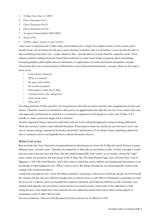- 3. X-Men First Class v1 (2007)
- 4. Chris Claremont Part I
- 5. Chris Claremont Part II
- 6. Chris Claremont Part III
- 7. Avengers Disassembled (2004/2005)
- 8. House of M
- 9. X-Men Legacy: Legion (2-part review)

I don't want to talk about the X-Men solely, that would just be a couple of in-depth reviews of some comics, and I already wrote a lot of reviews for the past x years. Instead, I wanted to take it a bit further. I came up with the idea, to take something from those runs - a topic, theme or idea - and talk about it in more detail in a separate article. Those subjects could be anything from the Comic Book Authority to comic book studies in general, about terminology, interesting debates, philosophies that are mentioned, or explanations of sexual orientations and gender-concepts. That means that every review/analysis is followed by a more theoretical based article - an essay. These are the topics I chose so far:

- Comic Book Authority
- What is a mutant?
- the ages comic books
- the mutant metaphor
- Philosophies within the X-Men
- A broken back in the refrigerator
- comic book events
- Who am I?

The thing about the X-Men and their very long history is that they are often viewed as this conglomerate of ideas, and themes. Therefore creators are themselves often seen as an agglutinated mass. But they are not. Every creator has to be read separately and therefore be analyzed as a constituent component of the big picture, that is the X-Men. It is a mistake to create a universal image of the x-universe.

Another important thing is that every individual, with his or her cultural background, interprets things differently. With my research, I tried to cope with that limitation. Please keep in mind: my articles are just one way to see it, one way to interpret things, inspired by the books and articles I will mention. If you think I forgot something, please feel free to comment, and we can hopefully have a vibrant discussion about it.

# **What's Left to Say**

Bear in mind, that Chris Claremont is mentioned more often because he wrote the X-Men for nearly 20 years in many different team- and solo-series'. Therefore he shaped the X-Men like no one before or after. At first, I thought I would pick just some story-arcs here and there. But that seemed impossible. How could I, as an outsider, choose the "right" ones? I mean, his stories are the best stories of the X-Men, like The Dark Phoenix Saga, Days of Future Past, Trial of Magneto or The Fall of the Mutants. And I don't want to read those stories without any background information or no knowledge of what happened so far. What I want to say is: We will go through his run chronologically, based on the reading order I mentioned above.

I think that's enough for now. As for the release schedule: I am going to release two articles per month. So every month has a theme and this way you will have enough time to read the issues as well. Marvel Unlimited is a good place to start, but if you are a collector, there are beautiful but expensive Omnibus and Collectors Editions as well. Currently, I am reading them digitally, but once there is more money in my bank account I want some of the collections as well. Along the way, I also might have some surprises for you: additional articles and reviews about certain aspects or incarnations of the X-Men. But for now:

See you in February. Then we will talk about the Kirby and Lee run (X-Men #1 to #19)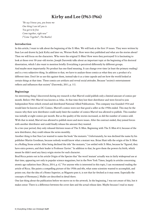# **Kirby and Lee (1963-1966)**

*"He say I know you, you know me One thing I can tell you is You got to be free Come together, right now" ("Come Together", The Beatles)*

# **Introduction**

In this article, I want to talk about the beginning of the X-Men. We will look at the first 19 issues. They were written by Stan Lee and drawn by Jack Kirby and later on, Werner Roth. How were they published and what are the stories about? Then we will focus on the characters. Who were the original X-Men? How were they portrayed? It is fascinating to look at those over 50-year-old stories. Joseph Darowski talks about an important topic at the beginning of his doctoral dissertation, which I also want to mention briefly: Everything is perceived differently by different groups. And maybe most importantly: No product has one fixed meaning. It can change over time (at least the primary reading) and is a very subjective thing. In addition to that, we have to analyze those comics as what they are: a product of a different time. Don't let us use this against them, instead take it as a time capsule and see how the world looked at certain things at that time. These comics are artifacts and reveal social attitudes. Because "society's entertainment reflects and influences that society" (Darowski, 2011, p. 11).

# **Beginnings**

An interesting thing I discovered during my research is that Marvel could publish only a limited amount of comics per month. Before 1961 Marvel was known as Atlas. At that time they lost their distributor and were forced to join Independent News which owned and distributed National Allied Publications. This company was founded 1934 and would later be known as DC Comics. Marvel's comics were not that good a seller as the 1950s ended. This may be the reason why their new distributor could easily limit the number of comics Marvel was allowed to publish. This number was initially at eight comics per month. But as the quality of the stories increased, so did the number of comics sold. With that in mind, Marvel was allowed to publish more and more issues. After the contract ended, they joined forces with another distributor and could finally release the amount they wanted.

In a two year period, they only released thirteen issues of The X-Men. Beginning with The X-Men #14, because of the new distributor, they could release the series monthly.

Another thing is that Stan Lee wanted to name the book "the mutants." Unfortunately, he was declined the name by his publisher Martin Goodman, because nobody would know what a mutant was. Brian Hiatt tells the origin of the X-Men in a Rolling Stone article: After being declined the title "the mutants," Lee settled with X-Men, because he "figured, they have extra powers, and their leader is Professor Xavier." In addition to that, he gave them the powers by birth, which meant he didn't need any fancy origin stories for each character.

Brad Ricca points out in his article Origin of the Species that "the word 'mutant' actually was in fairly widespread use at that time, appearing not only in popular science magazines, but in the New York Times, largely in articles concerning atomic age radiation fears [Ricca, 2014, p. 6]." For anyone who is interested in this topic, I can recommend reading the article of Ricca. She paints a compelling picture of the 1950s and 60s, what some scientists wanted to accomplish, and points out, that the idea of a Homo Superior, as Magneto puts it, is not that far-fetched as it may seem. Especially the concepts of Hermann J. Muller are described in detail there.

One last thing about the publication before we move on to the artwork. In the beginning, I was not aware of this, but it makes sense: There is a difference between the cover date and the actual release date. Maybe because I read so many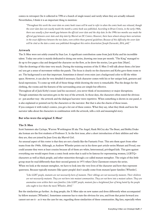comics in retrospect (be it collected in TPB or a bunch of single issues) and rarely when they are actually released. Nevertheless, I think it is an important thing to mention:

*"Throughout this work the cover date on comic book issues will be used to refer to when the comic book was released, though the cover date does not exactly match the month a comic book was published. According to Brian Cronin, in the early 1960s, there was usually a four-month gap between the official cover date and the ship date. In the 1990s two months was made the official gap between cover date and ship date by Marvel an DC Comics. However, there have almost always been variations in the exact difference between the two dates, even within those general guidelines. Because of this difficulty the cover date will be cited as the date a comic was published throughout this entire dissertation [Joseph Darowski, 2014, p44]."*

### **Artwork**

The X-Men were not solely created by Stan Lee. A significant contribution came from Jack Kirby and his incredible talent. Today one artist is mainly dedicated to doing one series, drawing one issue per month. "The King" managed to do up to five pages a day and designed the character on the flow, as he drew the stories, Lee gave him [Hiatt]. I like the drawings of this time very much. During the training sessions of the X-Men (I will talk about them a bit later on) you get a sense of movement within the panels. The focus is clearly on the characters and Kirby gave them room to act. The background is not that important. Sometimes it doesn't even exist: just a background color to fill the white space. However, it can also be very detailed if necessary. Each character comes with his or her unique look, gestures and facial expressions. To come up with all of those things while drawing the story is remarkable. Plus the design for the clothing, the rooms and the features of the surrounding areas are simple but effective.

Throughout all of Jack Kirby's issues (and his successor), you never think of inconsistency or major disruptions. Though sometimes the narration gets in the way of the artwork. In those days, the characters often stated the obvious or - put another way - the artwork and the dialogue/narrator were repetitive. When something is shown in one panel, it is also explained or pointed out by the characters or the narrator. But that is also the charm of those issues. If you compare it with today's comics, you get a lot out of these comics. What they say, what they think and how the narrator talks about the characters in combination with the artwork, tells a rich and meaningful story.

### **But who were the original X-Men?**

# **The X-Men**

Scott Summers aka Cyclops, Warren Worthington III aka The Angel, Hank McCoy aka The Beast, and Bobby Drake aka Iceman are the first students of Professor X. In the first issue, after a short introduction of their abilities and who they are, they are joined by Jean Grey aka Marvel Girl.

An unusual aspect of this roster is that they are not a family like the Fantastic Four. This sets them apart from other teams from the 1960s. Although, as Andrew Wheeler points out in his three-part article-series Mutant and Proud, one could assume they were at least cousins because all of them are white, heterosexual, privileged kids. This goes against everything one would expect from a comic book series that is said to be famous for representing women, LGBTQ+ characters as well as black people, and other minorities through a so-called mutant metaphor. The origin of this little group must be read differently than their second genesis in 1975 when Chris Claremont restarts the series. When we look at the mutant metaphor, we have to look into the very lives of the character and how they represent queerness. Because typically mutants (like queer people) don't usually come from mutant/queer families [Wheeler].

*"Like LGBT people, mutants are not necessarily born of mutants. Their siblings are not necessarily mutants. Their children are not necessarily mutants. They are not born into mutant communities. They are not born into a mutant culture. They are anomalous even within their own families. Like LGBT people, mutants face a heightened fear of being hated by the people who ought to love them the most [Wheeler, 2014]."*

But the similarities go further. As drag people, the X-Men take on new names and dress differently when accompanied by fellow mutants [Wheeler]. Sometimes someone has to state the obvious for you, and from that point forward you cannot not see it - as it was the case for me, regarding those similarities of these communities. Big fans, especially when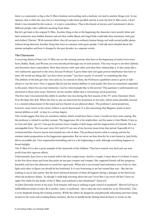there is a community as big as the X-Men's fandom surrounding such a medium, we tend to analyze things over. In my opinion, that is often the case, but it is interesting to take those parallels and lay it onto the first X-Men series. I don't think it was intended by the creators - it is just a coincidence. That is the beauty of stories, and I mentioned it above: different people, take a different meaning from them.

But let's get back to the original X-Men. Another thing is that at the beginning the characters were mostly white and their mutations were hidden features and not that visible (Beast and Angel both could hide their mutations with gear and clothes) [Darius]. With minimal effort, they all can pass as ordinary human beings and walk around public places, without being detected. Another thing they have in common with queer people. I will talk more detailed about the mutant metaphor and how it changed in the past decades, in a separate article.

# **The Characters**

A recurring theme of Stan Lee's X-Men run are the training sessions they have at the beginning of nearly every issue. Scott, Bobby, Hank, and Warren are even introduced through one of such sessions. This way we get to see their abilities and determine there camaraderie. How they interact with each other and what their relationship is. It also seems like a very militaristic approach to the story, because Professor X gives them time and again precise timeframes they have to meet. He would say things like "you have three seconds," "you have exactly 15 seconds" or something like that. The abilities of the kids get clear very early on. In contrast to them, the Professors capabilities seem to grow or fade always to suit the story. First, it appears like he just has mental abilities to read minds. But they are sometimes expanded to the point, where he can erase memories. Can he control people like in the movies? This question is unfortunately not answered in those early issues. However, he has another ability that is concerning: astral projection.

The first time I encountered this ability in another way was during the first seasons of the TV series Charmed, where Prue develops this skill. When she does it, she can deactivate her projection at any time, which seems plausible, because it is a mental enhancement of the mind and not fixated on any physical object. The professor's astral projection, however, must return to his owner, before it can be deactivated. It is also interesting that Magneto seems to have mental abilities as well - at least to a certain degree.

This would suggest that they are somehow related, which would have been a twist, I would not have seen coming. But the professor is related to another mutant: The Juggernaut. He is his stepbrother, and his name is Cain Marko (Cain; as in Cain and Abel - get it?). Cain got his powers from a temple of dark magic and the magical item of Cyttorak. He is an unstoppable force. The two-part story (#12 and #13) are one of my favorite issues from that period. Especially #12 is orchestrated like a horror movie and reminds me a bit of alien. The professor knows what is coming and lets his students make preparations as the Juggernaut approaches. But we never see him directly; he is just hinted at. Jack Kirby did an incredible job. Very suspenseful storytelling and it is a bit frightening as well, although everything happens in broad daylight.

The X-Men #12 is also a great example of the teamwork of the children. They have trained very hard and can now profit from this vigorous efforts.

Unfortunately, Jean Grey is not treated well in the first couple issues. And by a couple, I mean about 14 of them. It starts in the first three issues and from that point on just gets creepier and creepier. Her supposed friends call her gorgeous, beautiful, and have the obsession to touch her vigorously. When she is not around (and sometimes even if she is), they fight each other to figure out should be her boyfriend. It is very frustrating to see her treated that way - like she has nothing to say in that matter. But the most awkward moment of them all happens during a dialogue in the third issue when the professor thinks: "As though I could help worrying about the one I love! But I can never tell her! I have no right! Not while I'm the leader of the X-Men, and confined to this wheelchair!" [Issue #3]

As John Darowski writes in his essay "Evil mutants will stop at nothing to gain control of mankind!", Marvel Girl has to fulfill different kinds of roles. Be it mother, sister, or girlfriend - she is what the story needs her to be [Darowski]. This is even displayed during the training sessions. While the others do dangerous and physically exhausting exercises (jump around in the room and avoiding flames and pits), she has to handle books (letting them levitate) or works on the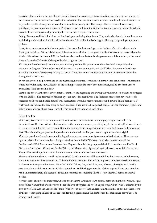precision of her ability (using needle and thread). In case the exercises get too exhausting, she faints or has to be saved by Cyclops. All this in spite of her excellent introduction. The first few pages she manages to handle herself against the boys and is capable of using her powers. She is a confident young girl. This image of her is rendered useless very quickly, as the quote mentioned above of Professor X proves. It is not until the fourteenth issue or so when she is back in control and develops a real personality. In the end, she is equal to the others.

Bobby, Warren, and Hank don't have such a development during these issues. They train, they handle themselves pretty well during their missions but other than that they don't have that kind of struggle. Although they each get a personal problem.

Hank, for example, saves a child at one point of the story. But he doesn't get to be the hero. Out of nowhere a mob literally, attacks him. Before this incident, it is never established, that the general society hates or even knows about the X-Men. Via a direct link to the FBI, the Professor also handles missions for the government. It is not clear, if the world hates or loves the X-Men or if they just decided to ignore them.

Warren, on the other hand, has a more personalized problem. His parents visit the school and are quickly taken prisoners by Magneto. It is another parallel between the queer community and the X-Men. His parents don't know about his "condition," so they try to keep it a secret. It is a very emotional issue and the only development he makes, during the first 19 issues.

Bobby can develop his powers a bit. In the beginning, he can transform himself literally into a snowman - covering his whole body with fluffy snow. Because of the training sessions, the snow becomes denser, and he can form a more crystallized "skin" around his body.

Scott is the one with the most development, I think. At the beginning and during the whole run to be exact, he struggles with his abilities. The destruction his laser-eyes can cause is a real threat. The Professor makes him nevertheless his successor and Scott can handle himself well in situations when his mentor is not around. It would have been great if Kirby and Lee focused the love story on Scott and Jean. They seem to be a perfect couple. But the comments, fights, and behaviors mentioned above make it weird. They could have supported each other.

#### **Friend or Foe**

With every issue there comes a new mutant. And with every mutant, recruitment plays a significant role. The introduction of Cerebro, a device that can detect other mutants, was very unsatisfying. In the movies, Professor X has to be connected to it, for Cerebro to work. But in the comics, it's an independent device. And built into a desk, a wooden desk. There is nothing majestic or impressive about the machine. But you have to begin somewhere, right? With the question of recruitment and finding other mutants, one cannot ignore some discrimination. They are very rigorous about their new members. A topic that disturbs me is this: We have the X-Men on one side and the Brotherhood of Evil Mutants on the other side. Magneto founded the group, and the initial members are The Toad, Pietro aka Quicksilver, Wanda aka Scarlet Witch, and Mastermind. Again and again, the two teams fight for recruits. The problematic thing about this is that there seems to be no alternative to those two.

Mutants either join them or - well - what exactly? I don't know what will happen if they don't want to join the teams, but it always sounds like an ultimatum. Take the Blob for example. The X-Men approach him so carelessly, no wonder he doesn't want to join either team. After their initial failure, they attack him, and, of course, he fights back. In this situation, the actual threat were the X-Men themselves. And the biggest mistake of their approach is to give him their real names immediately. No secret identities, no costumes or something like that - just their real names and casual clothes.

Here are some examples of characters, Charles and Magneto (we never learn his real name during these 19 issues) fight over: Prince Namor/Sub-Mariner (who bends the laws of physics and not in a good way), Unun (who is defeated by his own powers), Ka-Zar aka Lord of the Jungle (who lives in a secret land underneath Antarktika) and some others. Two of the most intriguing villains of this era (besides the Juggernaut and the Brotherhood as mentioned above) are The Stranger and Lucifer.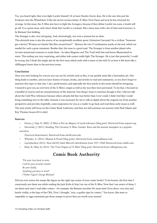Yes, you heard right, they even fight Lucifer himself. Or at least Charles Xavier does. He is the one who put the Professor into the Wheelchair (I like the movie version better; X-Men: First Class) and now he has returned for revenge. In this issue, the X-Men also have to fight the Avengers, because if they defeat Lucifer too soon, a bomb will go off. It is a great issue, and I don't think that Lucifer is a mutant. But a mere man with a lot of time and recourses. Is he Batman? Just kidding.

The Stranger is also very intriguing. And, interestingly, not even a mutant but an alien.

This eleventh issue is also the source of an exceptionally excellent quote (Attention! Sarcasm!) by a civilian: "Someone get a doctor! Women are faintin' like flies around here!!" - Beware the two (!) exclamation marks at the end, which are needed for such a great statement. Besides that, the issue is a good read. The Stranger is from another planet who recruits mutational creatures to study them - he takes Magneto and The Toad with him and leaves Mastermind in stasis. This ending was very surprising, and either side cannot really fight The Stranger. He is just that powerful. I could be wrong, but I think this might also be the first issue which ends with a teaser at the end! Or at least it felt more like a cliffhanger/teaser than in the previous issues.

# **Conclusion**

Once you start looking for sources you can use for articles such as this, it can quickly seem like a bottomless pit. One thing leads to another, and you have dozens of essays, books, and articles to read and summarise, so you don't forget to mention this topic or that clue. I am a perfectionist, and especially the first article in this series should be intriguing. I wanted to give you an overview of the X-Men's origin as well as the way they were portrayed. To do that, I focused on a handful of sources and my interpretations of the material. One thing I want to mention though is this: I did not talk about the Cold War references because others already did that way better than I ever could. I didn't feel like I could bring something new to the table. Instead, it was necessary for me to talk in-depth about the original run from another perspective and provide, hopefully, some inspiration for you as a reader to go back and read these early issues as well. The next article will focus on the Comic Book Authority, and then we will continue our journey with Neal Adams and Roy Thomas (issues #55 to #66).

### **Sources**

- Darius, J. (Sep 25, 2002). X-Men is Not an allegory of racial tolerance (blog post). Retrieved from sequart.org
- Darowski, J. (2011). Reading The Uncanny X-Men: Gender, Race and the mutant metaphor in a popular

narrative

(Doctoral dissertation). Retrieved from etd.lib.msu.edu

- Wheeler, A. (2014). Mutant & Proud (blog posts). Retrieved from comicsalliance.com
- rayrayheyhey (2015). How did DC limit Marvel's distribution from 1957-1968? Retrieved from reddit.com
- Hiatt, B. (May 26, 2014). The True Origins of 'X-Men' (blog post). Retrieved from rollingstone.com

# **Comic Book Authority**

*"Put your tiny hand in mine I will be your preacher teacher Be your daddy Anything you have in mind" ("Father Figure",George Michael)*

Did you ever notice the stamp-like figure on the right top corner of your comic books? To be honest, the first time I consciously saw them was while reading the Jack Kirby & Stan Lee run of the X-Men. Now that I am aware of them, I see them each time I read older comics - for example, the Batman storyline No mans land. Even there, very tiny and barely visible, is the logo of the CBA. First, I thought, "nice, a quality sign for comics." You know, like meat or vegetables or eggs sometimes get those stamps to prove they are worth your money?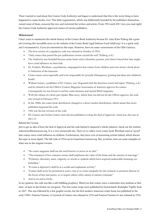Then I started to read about this Comics Code Authority and began to understand that this is the worst thing to have happened to comic books, ever. This little organization, which was deliberately founded by the publishers themselves, ruined some of them, censored the rest, and restricted the writers and artists. From 1954 until 2011 (yes, you read right) the Comics Code Authority approved comics of various publishers.

# **Milestones?**

I don't want to summarize the whole history of the Comics Book Authority because Dr. Amy Kiste Nyberg did a great job covering this incredible story on the website of the Comic Book Legal Defense Fund (cbldf.org). It is a quick read, and I recommend it, if you are interested in this topic. However, here are some cornerstones of the CBA's history:

- The first version of a regulatory code was released in October of 1954.
- "Only comics that passed the pre-publication review carried the seal" (Nyberg, n.d.).
- The Authority was founded because comic book critics (churches, parents, and others) feared that they might have a bad influence on their kids.
- Dr. Frederic Wertham, a psychiatrist, campaigned to ban comics from children and even wrote a book about it: Seduction of the Innocent.
- Crime comics were especially said to be responsible for Juvenile Delinquency (putting bad ideas into children's heads).
- William Gaines, a publisher of EC Comics, was "disgusted with the direction events had taken" (Nyberg, n.d.) and he refused to let the CMAA (Comics Magazine Association of America) approve his comics. Consequently, he was forced to end his comic business and started MAD magazine.
- With the release of a three-part Spider-Man story, which Stan Lee did not let the CMAA approve, the code was revised in February 1971.
- In the 1980s, the comic book distribution changed to a direct market distribution, which meant that more publishers bypassed the code.
- 1982 was the last revision of the code.
- DC Comics and Archie Comics were the last publishers to drop the Seal of Approval--mind you, this was in 2011 (!)

# Behind the Curtain

Just to get an idea of how the Seal of Approval and the code behind it impacted a whole industry, check out the website seductionoftheinnocent.org. It is a very resourceful site. They try to collect every comic book Wertham used as "proof" that comics were a bad influence on children. Furthermore, they have a lot of interesting articles linked, which discuss the topic in more depth. The full code of 1954 can be found here lostsoti.org. But, as before, here are some examples of what was in the original version:

- "No comic magazine shall use the word horror or terror in its title."
- "The treatment of live-romance stories shall emphasize the value of the home and the sanctity of marriage."
- "Profanity, obscenity, smut, vulgarity, or words or symbols which have acquired undesirable meanings are forbidden."
- If crime is depicted it shall be as a sordid and unpleasant activity."
- "Crimes shall never be presented in such a way as to create sympathy for the criminal, to promote distrust of the forces of law and justice, or to inspire others with a desire to imitate criminals."
- And so on and so forth...

In my opinion, the code was like a self-fulfilling prophecy. Mind you that comics were a somewhat new medium at that time--at least in the format we recognize. The first comic strips were published by Switzerland's Rudolphe Töpffer back in 1827. This was followed by a few graphic novels, but the first modern American comic book was published in the early 1930's. Famous Funnies: A Carnival of Comics was released in 1933 and Famous Funnies #1 was released in 1934.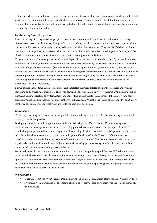At the time when crime and horror comics were a big thing, critics came along with it: concerned for their children and what effect the comics might have on them. So, first, comics were attacked by people who did not understand the medium. Then, instead of talking to the audience and telling them that not every comic book is necessarily for children, the publishers founded the authority.

# **Establishing Something New**

I have the luxury of taking a modern perspective on the topic, and today the audience of comics seems to be very diverse. No matter how old you are, skinny or fat, black or white, straight or queer, comics are for everyone. You have the major publishers, as well as indie comics, webcomics and a lot of niché markets. They are like TV shows or films: a medium, not a single format or a restricted way to tell stories. This might seem like something quite obvious, but I feel like that it is important to state it time and again: comics are not just one single format.

To get to this point takes time, patience and money. Especially money from the publishers. But if you introduce a new medium to the world, you cannot just censor it because some are offended by the way you tell your stories. Give it time to evolve. Not just the medium itself (as a publisher you have to figure out, what you can do with it), but also as the audience. Maybe without the Authority, we would have never got the superheroes we love and cherish. We would have something different, perhaps. Diving into this topic would be exciting. Asking questions like, what comics and stories were most popular at the time the critics came around? What content and tales could not be told because of the Authority? And then, speculating.

But we cannot change time. And a lot of stories and characters that were created during these decades are brilliant, intriguing and I would miss them a lot. They even spawned entire cinematic universes, inspired a whole new genre of films, and a new generation of writers, artists, and more. The truth is that the CBA censored the creators, and some stories may not be as suspenseful or original as they would have been. Was this the reason sales dropped? I don't know; maybe we can talk more about that when we get to the ages of comic books.

# **Conclusion**

To this day, I am surprised that all the major publishers supposedly agreed on the CBA. We are talking about a whole industry. How is that possible?

During my research, I stumbled upon sentences like the following: "In 1954 the Comics Code Authority was implemented due to an apparent link between the rising popularity of comic books and a rise in juvenile crime." (comicvine.gamespot.com) It makes me angry to read something like this because what is this "apparent link" everyone talks about, but the only one who is quoted time and again is Wertham (if at all). There is a difference between correlation and causation. Is there any real scientific evidence, that statements like the one above is true? I am asking! If so, please let me know. It reminds me of a discussion we have today (an unnecessary one, I might add): can violent games be held responsible for killing sprees and such?

Fortunately, though, the code is no longer in use. But, it did some damage. Some publishers couldn't sell their comics anymore, which resulted in their bankruptcy. For over 60 years, the comic book industry just gave up--at least in my opinion. As I said, comics were somewhat new at that time. Logically, there were concerns about them; there always are. But, you cannot blindly listen to critics, even when the sales drop. Just keep telling good, intriguing stories and people will find their way back. I believe in that.

# **Works Cited**

- Wertham, F. (1953). What Parents Don't Know About Comic Books. Ladies' Home Journal, November, 1953.
- Nyberg, A.K. (n.d.). Comics Code History: The Seal of Approval (blog post). Retrieved September 25th, 2017 from cdldf.org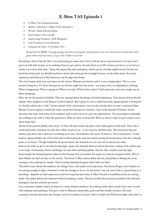# **X-Men TAS Episode 1**

- X-Men: The Animated Series
- Season 1 Episode 1: Night of the Sentinels I
- **■** Writer: Mark Edward Edens
- Story Editor: Eric Lewald
- Supervising Producer: Will Meugniot
- **Exercise Exercise Larry Houston**
- Original Air Date: 31 October 1992

*Synopsis(from IMDB): A young teenager has been rejecting her mutant powers ever since she discovered them. But when giant robots track her down, it's up to the X-Men to save her.*

Revisiting a show from the 90s is very interesting in many ways: First of all the show is presented in a 4:3 ratio, but I grew up with that format, so its nothing I have to get used to. Second, there is no HD version out there, so we have to watch it as it were back then. Third, the typical 90s style animation, which can be a double-edged sword: On the one hand they look good, are detailed and have charm (plus they get the nostalgic bonus), on the other hand, the action sequences and behavior of the characters can be edgy and abrupt.

The story begins with riots and chaos on the streets. Mutants are furious, and it is not a happy place. This is a very positive thing for a TV show because we are thrown right into the action - no origin story, no explanation, nothing. What is happening? What is going on? Where are why? Why is there chaos? Valid questions, and every single one of them intriguing.

Next, we see the parents of Jubilee. They are arguing about the things currently happening. They discuss if they should register their daughter at the Mutant Control Agency. But I guess it is just a small step from registering her to bring her to a facility where she is "safe." In the context of the conversation, one can also assume that it is not a training facility. Mutant Control Agency sounds like some conversion therapy for mutants. Later in the episode, Professor Xavier discusses this topic with some of his students, and it turns out to be a private organization. The government seemingly has nothing to do with it. Now the question is: Why are they so powerful? Who are they? I hope we get to know more about them later.

Afraid of her parents Jubilee runs away. To blow off some steam she plays some video games in the mall. There she is confronted with a Sentinel. It is the first villain we get to see - if you want to call them that. The Sentinel is big and clumsy, also slow, and it destroys everything in its way. Nevertheless, the motto of them is: "serve and protect." It first tried to capture Jubilee out of her bedroom by destroying the wall and nearly tearing the house down, but she is already gone, as we know. Though funded by the government, the Sentinels are not very serve-and-protect-like.

Back at the mall, we get to see the first big fight. Again, the Sentinel destroys almost the entire ceiling of the mall to get to its target. Fortunately, Storm and Rogue are also there and help Jubilee. Shortly after, Gambit joins the fight. Interestingly the Sentinel ignores them at first because they are neither his target nor does he recognize them. Why is that? Maybe we find out later in the season. The three X-Men cannot defeat the foe, and Jubilee is fleeing the scene, running to the parking lot outside. There Cyclops beheads the giant robot with one blast.

This short scene shows the audience two things: First, and maybe most important, that Storm, Rogue, and Gambit are not strong enough to fight a Sentinel or lack the strategy to do so. At this point, I am not sure if this is a good thing or a bad thing - depends on their experience and how long they have been X-Men. Second, it establishes Scott as a strong leader. He calmly defeats the Sentinel without breaking a sweat. Then he catches the unconscious Jubilee (the Sentinel managed to hit her with his last move).

Cut to mansion: Jubilee wakes up alone in a room without windows. Everything looks clean, sterile even, and covered with stainless steel paneling. This part of the X-Mansion seems dark, gritty and like hostile territory. Her luck continues, because she enters the Danger room, by accident of course, where Gambit and Wolverine fight each other in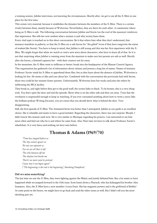a training session. Jubilee intervenes, not knowing the circumstances. Shortly after, we get to see all the X-Men in one place for the first time.

This scenes very essential, because it establishes the dynamic between the members of the X-Men. There is a certain rivalry between them, mainly because of Wolverine. Nevertheless, they are there for each other. A community where being an X-Men is safe. The following conversation between Jubilee and Storm (on the roof of the mansion) reinforces that impression. She tells her new student what a mutant is and why society hates them.

Every vital topic is touched on in this short conversation. Be it that others hate what they don't understand, that mutancy manifests in puberty, or that the X-Men are a safe haven for "the gifted" (even if they have outgrown the status of student like Storm). You have to keep in mind, that Jubilee is still young and this was her first experience with the X-Men. We might forget that when we watch or read a new story about characters, who have to learn all of that. So it is not that surprising when Jubilee is running away from the mansion to make sure her parents are safe as well. Shortly after she leaves, a Sentinel captures her - with their creators not far away.

In the meantime, the X-Men want to infiltrate or better: break into the headquarter of the Mutant Control Agency. This organization has gathered a lot of information about citizens and possess a long list of names. Names of mutants. Professor Xavier sends his X-Men to apprehend those files, but as they learn about the absence of Jubilee, Wolverine is looking for her. He seems to like and care about her. Combined with the conversation she previously had with Storm, those two could be her mutant-foster-parents. Unfortunately, Wolverine loses her tracks and joins the others by infiltrating the MCA facility.

They break in, and right before they get to the good stuff, the screen fades to black. To be honest, this is a very cheap trick. You don't open the door and end the episode. Show what is on the other side and then cut away. Trust that the revelation is suspenseful enough to keep us watching. If you ever consumed anything about how to write a story (like the brilliant podcast Writing Excuses), you are aware that you should show what is behind the door. Very disappointing.

Still, the first episode of X-Men: The Animated Series was better than I anticipated. Jubilee as our guide is an excellent choice. She is relatable and seems to have a good mindset. Regarding the characters, there was one surprise: Morph. I didn't know this mutant until now. He is very similar to Mystique regarding his powers. I am interested to see him more often and find out who he is and where he came from. Also: Next time we have to talk about Professor Xavier's wheelchair. It is very fancy and nothing we have seen before.

# **Thomas & Adams (1969/70)**

*"Time has stopped before us The sky cannot ignore us No one can separate us For we are all that is left The echo bounces off me The shadow lost beside me There's no more need to pretend Cause now I can begin again" ("The beginning is the end is the beginning", Smashing Pumpkins)*

# **Did we miss something?**

The last time we saw the X-Men, they were fighting against the Mimic and jointly defeated him. But a lot seems to have happened while we jumped forward to the 55th issue. Scott hunts down a Pharaoh, who has kidnapped his brother Alex Summers. Also, the X-Men have a new member: Lorna Dane. She has magnetic powers and is the girlfriend of Bobby? At some point in the future, we might have to go back and read the other issues as well. But I didn't tell you the most shocking part yet.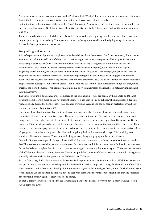Are sitting down? Good. Because apparently, the Professor died. We don't know how or why or what exactly happened during the first couple of issues of this storyline, but it must have occurred just recently.

Last but not least, the first issue of the so-called "Roy Thomas and Neal Adams run" - as the reading-order-guide I use calls this couple of issues - Neal Adams is not the artist, but Werner Roth. Adams starts to draw the comic beginning with #56.

Those seem to be the most critical three details we have to consider when getting into the next storylines. However, they are just the tip of the iceberg. There are a lot more confusing, questionable and intriguing story elements to discuss. Let's decipher as much as we can:

# **Storytelling and artwork**

A lot of repercussions of previous storylines can be found throughout these issues. Don't get me wrong, there are new elements and villains as well, lot's of them, but it is refreshing to see some consequences. The original issues were mostly single-story-issues (with a few exceptions) and didn't have any lasting effects. But now we are not just introduced to Trask junior (his father was responsible for the Sentinel Program), we also meet Ka-Zar again. Regarding world building, we can see some improvement as well. In issue #58, for example, we get a little scene of Magneto and his new comrade Mesmero. This couple of panels gives us the impression of a bigger, rich universe because we can see, that time is moving forward with other characters as well. We do not just look at their actions and preparations in retrospect, but as they happen. That is what you call "set up." Still, it is not just things like that, which enriches the story. Sometimes we get information from a television newscast, and it just feels naturally implemented into the narrative.

The panel structure is different as well - compared to the original run. There are panels within panels, and the 2x3 structure from before is more or less not existent anymore. They vary in size and shape, which makes for a dynamic read, especially during the fight scenes. These changes were long overdue and can be seen in perfection when Scott takes on the main villain in issue #55.

One thing I love about modern-day comic books are two-page spreads. These are drawings of a single panel or a cumulation of panels throughout two pages. Though I read my comics on an iPad Pro, these artworks get me excited every time - if done right. Recently I read a lot of DC Comics comics. The two-page spreads of Green Arrew, Green Lanter or Titans work perfectly and enrich the story. The same is true for some of the issues of this X-Men run. They present us the first two-page spread of the series (as far as I can tell - maybe there were some in the previous issues) and it's gorgeous. Neal Adams is a great artist. He can do anything. Be it action scenes with pages filled with fights or emotional discussions between Trask's son and a judge - everything is engaging and beautiful to look at.

Before I talk about more specific things I like or disliked, I wanted to mention the finale. In issue #65, we can see that Roy Thomas has prepared this story for a while now. On the other hand, it is a shame to see it fulfilled in just one issue. But as the X-Men complete their first run, it doesn't seem logical to start another epic story arc. These are the last issues of the X-Men. At least for a while. After #66 Marvel just published reprints of older stories and you might have guessed it already - they came back five years later with Giant-Sized X-Men #1.

For the final story, the Professor comes back! Yeah??! Did anyone believe, that Xavier was dead? Well, I wasn't exactly sure, to be honest, but now we have the proof that he faked his death to prepare a strategy for the invasion of the Z'Nox. Alien invaders, with a Deathstar-like ship. Sounds awesome right? Unfortunately, as I said, it is all finished in one issue. It feels rushed. And in addition to that, we have to deal with some weird psychic reboot machine so that the Professor can function normally again. A crazy way to end things.

Be that as it may, issue #66 feels like the old issues again. Back to the basics. They even have a short training session. We've come full circle.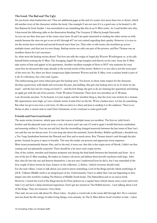### **The Good, The Bad and The Ugly**

Do you know what backstories are? They are additional pages at the end of a comic (not more than two or three), which tell another story of the characters within the book. One example (I am not sure if it is a good one, to be honest) is All-Star Batman by Scott Snyder. I was astonished to see something like this in an X-Men comic. As I read further into this, I discovered the following table in the dissertation Reading The Uncanny X-Men by Joseph Darowski:

As you can see they were part of the comic since issue 38 and I am quite interested in reading the other stories as well; mainly because the ones we get to see in #55 through #57 are very mixed regarding their quality. However, it is nice to see the stories have evolved and moved forward since Stan Lee. They refer to old events, the storylines go across multiple issues, and they just try new things. Backup stories are only one part of the process, and Roy Thomas was an excellent choice for Lee's successor.

So, what were the backup stories about? The first one tells the origin of Angel aka Warren Worthington or, as he calls himself before joining the X-Men: The Avenging Angel! He stops burglars and thieves on his own. Soon the X-Men take notice of him and appear in his apartment. Another excellent example of How to NOT win someone for your cause (but we discussed this topic already in the second article of this series). Believe it or not, this is not the worst part of the story yet. No, there are short conspicuous fights between Warren and the X-Men, even a nuclear bomb is part of it all. It's ridiculous, but a fun read, I guess.

The embarrassing part starts when Jean gets her backup story. You know, to show some respect for the character, develop a good story with depth and overcome the past. Just kidding. She gets one backup story (as in it's done in one issue) - and the last one for crying out loud (!) - and the first things she gets to do are cleaning her apartment and baking an apple pie with the aid of her powers. Yeah! Woohoo! Feminism! That's how you introduce an X-Woman. I am obviously sarcastic. To be honest, it is just stupid, and the weirdest thing is, that the story was written by a woman. My expectations were high, as I saw a female writer (Linda Fite) on the list. Write a badass story. Let her do something. But what we get is not even a real story. It's like an entry in a diary and Jean is reading it to the audience. There is no theme or plot. I cannot wait to read Chris Claremont, so let's continue to some good stuff.

#### **Friends and Foes (continued)**

The main stories, however, which span over the course of multiple issues are excellent. The first arc with Scott's brother and the pharaoh turns out to be a vast, rich story and I am sure if I read it again I would find more symbolism and meaning within it. You can see and feel, that the storytelling changed massively between the last issues of Stan Lee's run and the one we discuss now. It is one long tale about the sentinels, Scotts Brother, Bobby's girlfriend, a derailed son, a Yin-Yang-Symbolism between the Pharaoh and Alex and so much more. Roy Thomas doesn't rush through the plot points. Instead, he gives it space to breathe. This way the reader can process and appreciate every sequence. Most issues prominently feature Alex, and in the end, it turns out, that this is the origin story of Havok. I didn't see that coming and was pleasantly surprised. There should be a lot more such origin stories.

One of the coolest, weirdest and funniest moments was during the final battle between the Sentinels and Scott - he is one of the last X-Men standing. He makes an Asimov-ish move and defeats these horrific machines with logic. After that, they fly into the sun and destroy themselves. I am not sure I understood how he did it, but I was reminded of the first couple of short stories by Isaac Asimov in the collection \_I, Robot\_ (which everyone should read).

For the next villain, I want to talk about; you need to know something: Lord of the Rings and the whole mythology of J.R.R. Tolkiens Middle-earth is an integral part of me. Unfortunately, I have to admit that I am just beginning to dive deeper into this world by reading The History of Middle-Earth books, The Silmarillion and so on and so forth. However, I watch the Lord of the Rings movies by Peter Jackson on a regular basis (which means once a year) and every time I cry and have a deep emotional experience. Don't get me started on The Hobbit movies - I just talking about Lord of the Rings. They are treasures. I love them.

That said, we can now talk about Dr. Klaus Lykos - he plays a crucial role in the issues #60 through #62. He is a mutant and can drain the life energy of other living things, even animals. As The X-Men deliver Scott's brother to him - Lykos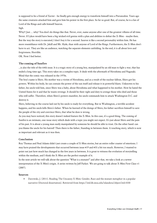is supposed to be a friend of Xavier - he finally gets enough energy to transform himself into a Pteranodon. Years ago the same creatures attacked him and gave him his power in the first place. So far so good. But, of course, he is a fan of Lord of the Rings and calls himself Sauron.

# Sigh.

Why?! Just … why? You don't do things like that. Never, ever, name anyone after one of the greatest villains of all time. Never. If Lykos would have been a big wicked evil genius with a plan and abilities to defeat the X-Men - maybe then. But the way the story is executed, I don't buy it for a second. Sauron is like a second personality within him. He has more resemblance with Dr. Jekill and Mr. Hyde, than with anyone of Lord of the Rings. Furthermore, the X-Men don't have to act. They are like an audience, watching the separate elements unfolding. In the end, it is all about love and forgiveness. Horrible.

OK. Now I feel better.

# **The coming of Sunfire**

...is also the title of the 64th issue. It is a tragic story of a young boy, manipulated by an old man to fight a war, that has ended a long time ago. This story takes on a complex topic. It deals with the aftermath of Hiroshima and Nagasaki. Mind that the comic was released in the 1970s.

The boy's name is Shiro. His mother was a victim of Hiroshima, and as a result of the nuclear fallout, Shiro got his powers. Within his body, he can contain the power of the sun itself and release it in powerful blasts. Unknown to his father, his uncle told him, since Shiro was a baby, about Hiroshima and what happened to his mother. How he hated the United States for it and that he wants revenge. It should be their right and duty to avenge those who died and those who still suffer. Therefore, when Shiro's powers manifest, his uncle commands him to attack Washington D.C. and destroy it.

Shiro, believing in the course laid out by his uncle is ready for everything. But in Washington, a terrible accident happens, and his uncle kills Shiro's father. When he learned of the doings of Shiro, his father sacrifices himself to save the people of the city and convince Shiro, that what he does is wrong.

As you may have noticed, this story doesn't indeed feature the X-Men. In this case, it's a good thing. The coming of Sunfire is an intimate, one-issue story which deals with a topic you might not expect. It's just about Shiro and the pain of his past. It is about a young man easily manipulated by someone he should be able to trust. On the other hand: can you blame the uncle for his hatred? Then there is the father, Standing in between them. A touching story, which is now as important and relevant as it was then.

# **Conclusion**

Roy Thomas and Neal Adams didn't just create a couple of X-Men stories, but an entire roller coaster of emotions. I may have praised the developments that occurred between issue #19 and #55 a bit too much. However, I wanted to point out just how much has changed in the few years in between. It is great to witness the evolution of storytelling within the medium, and I think the X-Men are the perfect example of it.

In the next article we will talk about the question "What is a mutant?" and after that, we take a look at a newer interpretation of the X-Men's origin. A series written by Jeff Parker. We are going to talk about X-Men First Class v1 (2007).

# **Sources**

**EXECUTE:** Darowski, J. (2011). Reading The Uncanny X-Men: Gender, Race and the mutant metaphor in a popular narrative (Doctoral dissertation). Retrieved from https://etd.lib.msu.edu/islandora/object/etd:1030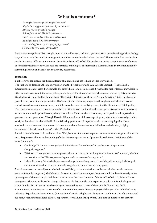# **What is a mutant?**

*"So maybe I'm an angel and maybe I'm a thief Maybe I'm a beggar that you walk by on the street Alright, you cut off both my wings Sell me for a nickel. The devil's gotta earn I don't need no banker to tell me what I'm wort It's alright. Some folks they never learn You're eating fire and you're praying I get burnt" ("The devil's gotta' earn," Brett Detar)*

Mutation is everywhere: "Every single human trait — blue eyes, red hair, cystic fibrosis, a second toe longer than the big toe, and so on — is the result of some genetic mutation somewhere back down the line." These are the first words of an article discussing different mutations on the website ScienceClarified. This website provides comprehensive definitions of scientific vocabulary, as well as real-life examples of biological phenomenon's, like mutations. So mutation is not just something abstract and exotic, but an everyday occurrence.

#### **mutation**

But before we can discuss the different forms of mutation, one has to have an idea of evolution.

The first one to describe a theory of evolution was the French naturalist Jean-Baptiste Lamarck. He explained a deterministic point of view. For example, the giraffe has a long neck, because it reached for higher leaves, unavailable to other animals. As a result, the neck got longer and longer. This theory was later abandoned, and nearly fifty years later Charles Darwin published his famous book "The Origin of Species by Means of Natural Selection." With this book, he provided not just a different perspective. His "concept of evolutionary adaptation through natural selection became central to modern evolutionary theory, and it has now become the unifying concept of the life sciences." (Wikipedia). The concept of natural selection or survival of the fittest is based on the idea, that one species is more able to survive in an environment and against its competitors, than others. These survivors than mate, and reproduce - they pass their genes to the next generation. Though Darwin did not yet know of the concept of genes, which he acknowledged in his work, he described the idea behind it. Each following generation of a species would be better equipped or able to survive in its environment. If you want to know more about the mechanisms behind natural selection, I highly recommend this article on ScienceClarified: Evolution

But what does this have to do with mutation? Well, because of mutation a species can evolve from one generation to the next. To give you a better understanding of what this concept can mean, I present three different definitions of the word "mutation":

- Cambridge Dictionary: "an organism that is different from others of its type because of a permanent change in its genes."
- Wikipedia: "an organism or a new genetic character arising or resulting from an instance of mutation, which is an alteration of the DNA sequence of a gene or chromosome of an organism."
- Urban dictionary: "A relatively permanent change in hereditary material involving either a physical change in chromosome relations or a biochemical change in the codons that make up genes"

Mutations can occur naturally or can be induced artificially. Natural mutations can be caused when a cell creates an error while duplicating itself, which leads to diseases. Artificial mutations, on the other hand, can be deliberately caused by mutagens – "chemical or physical factors that increase the rate of mutation." (ScienceClarified, n.d.) Most of those mutagens are human-made, such as drugs, tobacco, or alcohol as well as the exposure to radiation from hydrogen and atomic bombs. But viruses can also be mutagens because they insert parts of their own DNA into host DNA. As mentioned, mutations can be a cause of natural evolution, create diseases or physical changes of an individual or its offspring. Regarding the human being (but not limited to it), such physical changes can be albinism, the aforementioned red hair, or can cause an altered physical appearance, for example, little persons. This kind of mutation can occur in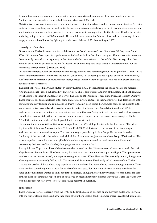different forms: one is a very short human but is normal proportioned, another has disproportionate body parts. Another, extreme example is the so-called Elephant-Man: Joseph Merrick.

Mutation is everywhere. It surrounds us and penetrates us. It binds the galaxy together - sorry - got distracted. As I said, mutation is not something abstract and exotic. Besides some extreme radical changes, mostly seen in diseases, mutation and therefore evolution is a slow process. So it seems reasonable to ask a question like the character Charles Xavier did, at the beginning of the second X-Men movie. He asks if the mutants are just "the next link in the evolutionary chain or simply a new species of humanity fighting for their share of the world?" (Arad & Singer, 2003)

#### **the origin of an idea**

Either way, the X-Men have extraordinary abilities and are feared because of them. But where did they come from? When did mutants first appear in popular culture? Let's take a look at their literary origins. There are certain books out there - mostly released at the beginning of the 1950s - which are very similar to the X-Men. Not just regarding their abilities, but also their position in society. "Whether Lee and or Kirby read these works is impossible to tell, but the similarities are significant." (Darowski, 2011)

I have three examples, which are mentioned time and again if you read something about the origin of the X-Men. I have to say, that unfortunately, I didn't read the books - yet, at least. So I will just give you a quick overview. To be honest, I didn't read much comments or reviews about them, because I didn't want to be spoiled. And yes, I am aware that those books are over 60 years old.

The first book, released in 1953, is Mutant by Henry Kuttner & C.L. Moore. Before the book's release, the magazine Astounding Science Fiction published first chapters of it. This is also true for Children of the Atom. The book contains five chapters: The Piper's Son, Beggars in Velvet, The Lion and the Unicorn, Three Blind Mice, and Humpty Dumpty. Those chapters tell different stories of the same characters, in various stages of their adventures. The descriptions of the content sound very familiar and could easily be drawn from an X-Men comic. For example, some of the mutants in the stories want to live peacefully, whereas others want to destroy the human race. Sounds familiar, doesn't it? As I understand it, most of the mutants can read minds, and the authors are "using italicized type and bracketed paragraphs, [to] effectively convey telepathic conversations amongst several people; one of the book's major strengths." (Ferber, 2013) If this last statement doesn't hook you, I don't know what else to do.

Children of the Atom by Wilmar Shiras was also published in 1953. Wikipedia states the book as one of "The Most Significant SF & Fantasy Books of the Last 50 Years, 1953-2002." Unfortunately, the source of this is no longer available, but the statement does its job. The best summary is provided by Arthur Bangs. He also mentions the familiarity of the story with the X-Men - which had their first adventure, just ten years later. Bangs (2005) writes: "This is not a superhero story, but one about gifted children learning to understand and embrace their abilities, and overcoming their sense of isolation by joining together into a community."

Slan by A.E. van Vogt is the oldest of the three novels - released in 1946. "Slans are evolved humans, named after their alleged creator, Samuel Lann. They have the psychic abilities to read minds and are super-intelligent. They possess near limitless stamina, 'nerves of steel,' and superior strength and speed. When Slans are ill or seriously injured, they go into a healing trance automatically." (Slan, n.d.) The mentioned features could be directly linked to some of the X-Men. It seems like psychic abilities where very popular in the 40s and 50s. The human being was not enough anymore. There was a need for something more. A need for an idea of the next step. For thousands of years, humans have been the same, and some authors wanted to think about the next steps. Though they are not very likely to occur in real life, some of the abilities like strength or speed, could be achieved by mechanic support systems. Maybe this is also the reason why we build robots or at least try to: to create something better than ourselves.

### **conclusion**

There are many stories, especially from the 1940s and 50s which deal in one way or another with mutations. They deal with the fear of atomic bombs and how they could affect other people. I don't remember where I read this, but someone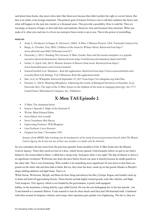said about those books, that most critics don't like them now because they didn't predict the right or correct future. But that is an unfair, even strange statement. The primary goal of Science-Fiction is not to tell their audience the future and what will happen in the next ten, twenty or a thousand years. They provide a possibility. How it could be. They are warnings, or bearers of hope, or deal with fears and anxieties. However, first and foremost they entertain. What you make of it, what you read into it or how you interpret those stories is up to you. That is the power of storytelling.

# **sources**

- Arad, A. (Producer), & Singer, B. (Director). (2003). X-Men 2 [Motion Picture]. USA: Twentieth Century Fox
- Bangs, A. (October 23rd, 2005). Children of the Atom by Wilmar Shiras. Retrieved from http:// www.sffworld.com/2005/10/bookreview227/.
- **•** Darowski, J. (2011). Reading The Uncanny X-Men: Gender, Race and the mutant metaphor in a popular narrative (doctoral dissertation). Retrieved from https://etd.lib.msu.edu/islandora/object/etd:1030
- Ferber, S. (April 15th, 2013). Mutant: Kuttner & Moore's final novel. Retrieved from http:// www.fantasyliterature.com/reviews/mutant/.
- ScienceClarified (n.d.) Mutation Real-life applications. Retrieved from http://www.scienceclarified.com/ everyday/Real-Life-Biology-Vol-2/Mutation-Real-life-applications.html
- Slan. (n.d.) In Wikipedia. Retrieved September 25, 2017 from https://en.wikipedia.org/wiki/Slan
- Norman, C. (2014). Mutating Metaphors: Addressing the Limits of Biological Narratives of Sexuality. In J.J. Darowski (Ed.), The Ages of the X-Men: Essays on the children of the atom in changing times (pp. 165–177). United States: McFarland & Company, Inc., Publishers.

# **X-Men TAS Episode 2**

- **EX-Men: The Animated Series**
- Season 1 Episode 2: Night of the Sentinels II
- Writer: Mark Edward Edens
- **EXECUTE: Story Editor: Eric Lewald**
- **Exercise Story Consultant: Bob Harras**
- Supervising Producer: Will Meugniot
- **EXECUTE: Larry Houston**
- Original Air Date: 7 November 1992

*Synopsis (from IMDB): After breaking into the headquarters of the newly discovered government branch called The Mutant Control Agency, the X-men lose two of their own members in a battle with the Sentinels.*

Do you remember the last scene from the previous episode? Some members of the X-Men broke into the Mutant Control Agency. There they stood in front of a door, which Storm opened. Unfortunately, before we got to see what's behind it, the screen faded to black. I called that a cheap trick. And guess what: I was right! The big revelation is: there is no significant revelation! Wolverine just shuts the door before Storm can open it entirely because he smells guards on the other side. That is very frustrating. Why couldn't it be something more significant? Or just show us that there are guards on the other side and then fade to black. But no, they close the door, sneak up on the guards (thanks to Morph's shape-shifting abilities) and fight them. That is it.

While Storm, Wolverine, Morph, and Beast do their thing and destroy the files, Cyclops, Rogue, and Gambit catch up to them and hold off approaching threats. Those threats include highly trained guards, tank-like vehicles, and High-Tech weapons. This Agency, which is not funded by the government, is pretty well equipped.

Jubilee, in the meantime, is being held by a guy called Gyrich. He was the one kidnapping her in the last episode - not Trask himself as I assumed. Bolivar Trusk wanted to wait for their attack until they had 100 Sentinels built. Combined with their arsenal of weapons, vehicles, and troops, their operation gets quickly very frightening. The fact is, they are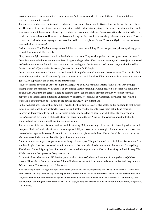making Sentinels to catch mutants. To lock them up. And god knows what to do with them. By this point, I am convinced they want genocide.

The conversation between Jubilee and Gyrich is pretty revealing. For example, Gyrich does not know who the X-Men are. He knows of their existence, but who or what behind this idea is, is a mystery to this man. I wonder what he would have done to her if Trusk hadn't shown up. Gyrich is the violent one of them. This conversation also indicates that the X-Men are new in business. However, this is contradicting the fact that Storm already "graduated" the school of Charles Xavier, but decided to stay anyway - as we have learned in the last episode. Or are Trusk and Gyrich the ones who are new to the idea of mutants?

Back to the story: The X-Men manage to free Jubilee and leave the building. From that point on, the storytelling gets a bit weird, so stay with him on this:

First, there is a fight between a bunch of Sentinels and the team. They work together and manage to destroy some of them. But ultimately there are too many. Morph apparently gets shot. Then the episode cuts, and we see Jean connected to Cerebro, monitoring the fight. She cries out in pain and agony, the Professor checks up on her, attaches himself to Cerebro instead of Jean, and is devastated, because he cannot find Morph.

Just in case you don't know: Cerebro is a machine which amplifies mental abilities to detect mutants. You can also find human beings with it, but Xavier mostly uses it to identify or search for a lost fellow mutant or detect mutant activity in general. He supposedly can do this on the entire planet.

Anyhow, instead of cutting back to the fight or Morph or a body, we see the Blackbird (the X-Men's very own jet) landing beside the mansion. Wolverine is angry, hitting Scott for making a wrong decision (a decision we don't know of) and then walks into the garage. There he destroys Scott's car and drives off with another. We didn't see what happened, so that makes it difficult to understand Wolverine. He just hints at what might have happened, which is frustrating, because when he is sitting in the car and driving, we get a flashback.

In this flashback we see Morph getting hit. Then the fight continues. Beast is also beaten and in addition to that thrown into an electric fence. More Sentinels are coming, and Scott gives the order to leave them behind and regroup. Wolverine doesn't want to go, but Rogue forces him to. She does that by absorbing a bit of his life energy (one of Rogue's powers). Just enough of it so the team can carry him to the jet. Now I, as the viewer, understand what has happened and can comprehend how Wolverine is feeling.

This structure of the story is weird and, as I said, frustrating. Why didn't they tell the story in chronological order in the first place? It doesn't make the situation more suspenseful if you make me wait a couple of minutes and then reveal just parts of what happened anyway. Because in the end, when the episode ends, Morph's and Beast's fate is not conclusive. We don't know if they are dead or alive. Just hints here and there.

After this unfortunate part, we get to see something I didn't expect: The president of the United States is a woman. Yes, you heard right. Isn't that awesome?! And in addition to that, she officially declines any further support for anything The Mutant Control Agency does. She does that because she interprets the incident at the facility in the right way: The X-Men were not the aggressors. Very cool move.

Cyclops finally catches up with Wolverine (he is in a bar, of course), they are friends again and go back to Jubilees parents. They talk to them and hope her father calls the Agency - which he does - to damage the Sentinel they sent and follow it home. This strategy is a risk but smart.

The last thing we see is a sign of hope: Jubilee says goodbye to her foster parents and leaves them for the X-Men. For some reason, she has to take a cap and has just one suitcase (when I went to university I had a car full of stuff with me). Anyhow, as the door of the mansion opens, and she walks in, the screen fades to black. Granted, it is another use of a door without showing what is behind it. But in this case, it does not matter. Behind this door is a new family for Jubilee. A new hope.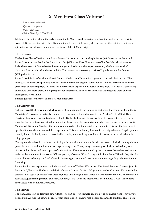# **X-Men First Class Volume 1**

*"I have hours, only lonely My love is vengeance That's never free." ("Behind Blue Eyes", The Who)*

I dedicated the last articles to the early years of the X-Men. How they started, and how they ended, before reprints occurred. Before we start with Chris Claremont and his incredible, nearly 20-year run on different titles, tie-ins, and spin-offs, we take a look at another interpretation of the X-Men's origin.

# **The Creators**

X-Men First Class of 2007 was the first volume of this run and contained eight issues. Jeff Parker wrote them, and Roger Cruz is responsible for the fantastic art. For Jeff Parker, First Class was one of his first Marvel assignments. Before he started this limited series, he wrote Agents of Atlas. Another superhero team, which is composed of characters first introduced in the 50s and 60s. The name Atlas is referring to Marvel's predecessor Atlas Comics. (Wikipedia, 2017)

Roger Cruz did a lot of work for Marvel Comics. He also has a DeviantArt page which is worth checking out. The impressive artwork Cruz provides does not just come from the pages of comic books. They are creative, and he has a great sense of body language. I also like the different facial expression he posted on this page. DeviantArt is something one should visit more often. It is a great place for inspiration. And you can download the images to work on your inking skills, for example.

But let's get back to the topic at hand: X-Men First Class:

# **The Characters**

As I said, I read the first volume which consists of eight issues. As the comicvine post about the reading order of the X-Men states: "This series is particularly good to give to younger kids who want to read X-Men." (TEC2030, 2017). This time the characters are introduced by Bobby Drake aka Iceman. He writes a letter to his parents and tells them about his last adventure. We get to know what he thinks about his classmates and what they can do. In the original X-Men by Jack Kirby and Stan Lee, the parents did not realize that their children are mutants. This way the kids cannot openly talk about their school and their experiences. This is prominently featured in the original run, as Angel's parents come by for a visit. Bobby seems to have had his coming out a while ago, and it is nice to see, how he talks about the things going on.

Throughout the whole first volume, the feeling of an actual school and the fact that we have to deal with young adults is powerful. It starts with the introduction page of every issue. There, every character gets a little introduction. Just a picture of their faces, and a description of their abilities. These pages are used by the characters themselves to draw on and to make comments. Each issue a different person, of course. What do they think about them? Who do they like? It's a cute addition to having this kind of insight. You can get a lot out of these little comments regarding relationships and friendships.

Besides Bobby, we are presented with the original roster of X-Men. Warren aka The Angel, Scott aka Cyclops, Jean aka Marvel Girl, Hank aka The Beast, and the Professor, of course. Cerebro did get an upgrade and is now able to teach the students. This aspect of "school" was utterly ignored in the original run, which always bothered me a bit. There were no real classes, just training sessions and such. But now, as we saw in the first three X-Men movies as well, the students have classes with homework, tests, etc.

# **The Stories**

The team has mostly to deal with new villains. The first one, for example, is a bush. Yes, you heard right. They have to fight a bush. An Azalea bush, to be exact. From this point on I knew I read a book, dedicated to children. This is not a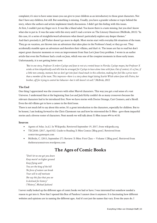complaint; it's nice to have some issues you can give to your children as an introductory to those great characters. Not that I have any children, but still. But something is missing. Usually, you have a grander scheme or topic behind the story, where the authors and artists implement timely discussions. I didn't get this feeling with this issues. At first, I couldn't put my finger on it. It was like a bland salad. You know there is a taste missing, but you don't know what else to put in. It was the same with this story until I read a review on The Literary Omnivore (McBride, 2013): "In this case, it's a series of straightforward adventures what doesn't particularly explore any deeper themes." And that's precisely it. Jeff Parker doesn't go more in-depth. Most stories start with everyday life situations of the team. They go on vacation, are thrown into an adventure that takes place in the Professor's head, or they go out. They accidentally stumble upon an adventure and therefore their villains, and that's it. The issues are fun to read but don't expect great character moments or even an improvement from Stan Lee's Jean Grey problem. I wrote in an earlier article that even the Professor had a crush on Jean, which was one of the creepiest moments in those early issues. Unfortunately, it is not getting better now:

*"But in one story, Professor X orders Cyclops and Jean to rest at a rented house in Florida. Cyclops mopes, but Professor X winks at him telepathically and tells him he arranged for Cyclops to have alone time with Jean. Out of context, it's a fine, if a little teen comedy, moment, but we don't get into Jean's head much in this collection, making her feel like a prize more than a member of the team. This improves—there is a story about Angel dating Scarlet Witch where Jean tells Pietro, her brother, off for trying to control her behavior—but it still doesn't sit well." (McBride, 2013)*

# **The End**

One thing I appreciated was the crossovers with other Marvel characters. This way you get a real sense of a vast Universe. I understand that at the beginning Stan Lee and Jack Kirby couldn't do as many crossovers because the relevant characters had to be introduced first. Now we have stories with Doctor Strange, Curt Conners, and a Skrull. Even the old villains get to have a cameo in the third issue.

There is not much left to say about this series. It's a great introduction to the characters, especially for children. But to be honest, I am looking forward to the Chris Claremont run and how he reinvented the X-Men - gave them impactful stories and a diverse roster of characters. Next month we will talk about X-Men issues #94 to #110.

# **Sources**

- Agents of Atlas. (n.d.). In Wikipedia. Retrieved September 19, 2017, from wikipedia.org
- TEC2030. (2017, April 02). Guide to Reading X-Men Comics [Blog post]. Retrieved from comicvine.gamespot.com
- McBride, C. (2013, September 27). Review: X-Men: First Class Volume 1 [Blog post]. Retrieved from theliteraryomnivore.wordpress.com

# **The Ages of Comic Books**

*"Don't let no one get you down Keep movin' on higher ground Keep flying until You are the king of the hill No force of nature can break Your will to self motivate She say this face that you see Is destined for history" ("History", Michael Jackson)*

I never really looked up the different ages of comic books we had or have. I was interested but somehow needed a reason to get into it. Now that I opened this Box of Pandora I cannot close it anymore. It is fascinating how different websites and opinions are in naming the different ages. And it's not just the names that vary. Even the years do. I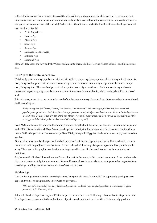collected information from various sites, read their descriptions and arguments for their system. To be honest, that didn't satisfy me, so I came up with my naming system (mostly borrowed from the various sites - you can find them, as always, in the source section of this article). So here it is - the ultimate, maybe the final list of comic book ages you will ever need (eventually):

- Proto-Superhero
- Golden Age
- Atomic Age
- Silver Age
- Bronze Age
- Dark Age (Copper Age)
- Extreme Age
- Diamond Age

Now let's talk about the how and why? Come with me into this rabbit hole, leaving Kansas behind - good luck getting out.

# **The Age of the Proto-Superhero**

This idea I got from a very popular and vital website called tvtropes.org. In my opinion, this is a very suitable name for everything that happened before comic books emerged, but at the same time a very arrogant one, because it lumps everything together. Thousands of years of culture put into one big messy drawer. But these are the ages of comic books, and as you are going to see later, not everyone focuses on the comic books, when naming the different eras of such.

It is, of course, essential to recognize what was before, because not every character from those early days is remembered and honored by us:

*"Only a lucky handful (Zorro, Tarzan, The Shadow, The Phantom, The Lone Ranger, Golden Bat) have remained popularly-recognized since their inception. But superpowered or not, widely-remembered or not, it's these Proto Superheroes to which later Golden, Silver, Bronze, Dark and Modern Age comic superheroes owe their success, as inspiration for their archetype and the industry that birthed them." (Proto-Superhero, n.d.)*

Scott McCloud talks in his book Understanding Comics at length about the history of comics. The definition sequential art by Will Eisner, is, after McCloud's analysis, the perfect description for most comics. But there were similar things before 1842 - the year of the first comic strip. Over 2000 years ago the Egyptians had an entire writing system based on symbols.

Other cultures had similar things as well and told stories of their heroes, legends, and myths. Enter a church, and you can see the suffering of Jesus frame by frame. Granted, they don't have any dialogue or speech bubbles, but they tell a story. There are entire graphic novels without a single word in them. So the word "comic" can be a rather broad definition.

Maybe we will talk about the medium itself in another article. For now, in this context, we want to focus on the modern day comic books - mainly American comics. You could also make such an article about mangas or other region/culture based ways of telling stories via a culmination of text and pictures.

# **Golden Age**

The Golden Age of comic books were simple times. The good old times, if you will. The supposedly good guys wear capes and won. The bad guys lost. There were no grey areas.

*"[N]o mercy! The moral of this story ladies and gentleman is... Good guys win, bad guys lose, and as always England prevails!" (V for Vendetta, 2006)*

I think the birth of Superman in June 1938 is the perfect date to start the Golden Age of comic books. Superman - the first Superhero. He was and is the embodiment of justice, truth, and the American Way. He is not only good but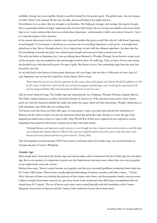infallible. Strong, fast, incorruptible. Ready to sacrifice himself for the greater good. The perfect man - but not human. An ideal. Never to be reached. By the way, he talks, moves and behaves he might fool you.

Nevertheless, he is an alien. But his strength is not limitless. The Hulk gets stronger and stronger the angrier he gets; this is a genuinely infinite strength. Superman does not have this luxury. He is as strong and capable as the story needs him to be. I read a sentence like that in an article about Superman - unfortunately, I didn't note where I found it - but it is a valid description of the character.

In his newest adventures, he has a family, even a dog and handles that great as well. But why do I talk about Superman in such lengths? To be honest, it started out as a sarcastic list of everything Superman is and can be - you might have picked up on that. But as I thought about it, it is a logical step, to start with the ultimate superhero. An alien who has lost everything, overcame his grief, was raised by good people and now gives back as much as he can.

The only one better as Superman (no, I am not talking about Batman) is Wonder Woman. In my favorite origin story of this character, she was molded by clay and brought to life by Zeus. No suffering. Then, as Steve Trevor came along, she decided to go with him and do good. No sign of guilt. She chose to do so. Not something tragic from her past that forced her into this.

As we look back at the history of those great characters, let's not forget, that we take a 1930s point of view. And as I said, Superman was not the first Superhero. James Henry (2016) wrote:

*"Heck, Superman wasn't even the first superhero by DC comics, that would appear to be "Doctor Occult"[3] published in 1935 by DC comics in New Fun Comics #6. He was a private investigator specializing in cases involving the supernatural. He used his magical abilities (like astral projection & telekinesis) to solve his cases."*

Still, he wasn't alone for long. The Golden Age also witnessed the rise of Batman, Wonder Woman, Captain Marvel, The Flash, Captain America, as well as the Justice Society of America in 1940, and many many more. Some writers point out, that the characters behind the masks and under the capes, where not that interesting. Though I think that is a bold statement, I get where they are coming from.

The heroes were the focus; not their alter egos. At some point, I want to go back and read the first adventures of Batman and the others so that I can join the discussion about this particular topic. Be that as it may, the age of the Superheroes faded away as fast as it came to life. After World War II they were replaced by non-superhero stories. Sometimes this meant for the heroes to phase out of their own titles slowly.

*"Although Batman and Superman would continue to exist through this time, Captain America did not fare so well.His book was renamed into Captain America's Weird Tales and was completely phased out of the comic in the same year as the human torch and replaced with horror genre material." (Grant, 2016)*

This development occurred around 1950. If you want to read more about the Golden Age, you can find articles on tvtropes.org and, of course, Wikipedia.

#### **Atomic Age**

Most people don't write about the Atomic Age and instead make a direct transition from the Golden Age into the Silver Age. But in my opinion, it is important to point out, that Superheroes had some years, where they were not as popular as one might think, and took a hiatus.

During these years, "Horror comics became very popular, and the most successful publisher producing those books was EC Comics' Bill Gaines. These stories visually depicted beheadings of women, murders, and other crimes…" (Grant, 2016). Because of those very detailed descriptions of how crimes went down, and the gruesome visuals, concerns arose. I talked at length about those concerns in a previous article (I also mentioned what Bill Gaines accomplished after he closed down EC Comics). The era of horror and crime comics ended basically with the foundation of the Comics Magazine Association of America and the Comics Code Authority (I wrote about them here).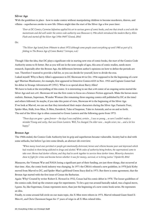# **Silver Age**

With the guidelines in place - how to make comics without manipulating children to become murderers, thieves, and villains - superheroes awoke to new life. Others might date the start of the Silver Age a few years later:

*"Over at DC Comics, Carmine Infantino applied his art to various genre of comic books, and one that struck a cord with the mainstream and did well under the comics code authority was Showcase 4, 1956 which introduced the modern Barry Allen Flash and started off the Silver Age (1956-1969)" (Grand, 2016)*

Or:

*"The Silver Age lasted from 1956note to about 1972 (although some people count everything up until 1985 as part of it, folding in The Bronze Age of Comic Books)." (tvtropes, n.d.)*

Though I like the idea, that DC plays a significant role in starting new eras of comic books, the start of the Comics Code Authority seems to fit better. But as you will see in the next couple of ages, this area of comic studies, needs more research. Especially after the Bronze Age, the differences between author's opinions on how to define the periods are vast. Therefore I wanted to provide a full list, so you can decide for yourself, how to divide the eras.

I asked myself: Why is Barry Allen's appearance in DC Showcase #4 in Oct. 1956 supposed to be the beginning of a new age? Martian Manhunter, for example, first appeared in Detective Comics #225 in Nov. 1955 and Captain Comet had his debut in Strange Adventures #9 (1951). What is so special about Barry Allen?

We have to look at the storytelling of this comic. It is interesting to see that a #4 comic of an ongoing series started the Silver Age and not a #1. Showcase #4 was the first comic to focus on a Science-Fiction approach. Make the heroes more realistic. Batman, Superman, Wonder Woman (the remaining three ongoing comics still published by DC at the time) and others followed. So maybe, if you take this point of view, Showcase #4 is the beginning of the Silver Age. If we look at Marvel, we can see that they introduced their major characters during the Silver Age: Fantastic Four, Spider-Man, Hulk, Iron-Man, X-Men, Daredevil, Tales of Suspense, Tales to Astonish, and so on and so forth. The end of the Silver Age is often connected to Green Lantern and the following quote from 1972:

*"Those days are gone – gone forever – the days I was confident, certain ... I was so young ... so sure I couldn't make a mistake! Young and cocky, that was Green Lantern. Well, I've changed. I'm older now ... maybe wiser, too ... and a lot less happy."*

#### **Bronze Age**

The 1960s ended, the Comics Code Authority lost its grip and superheroes became vulnerable. Society had to deal with some setbacks, but before I go into some details, an abstract-ish overview:

*"When many loved ones perished or people got emotionally distressed, heroes and villains became poor and depressed which had resulted in them being addicted to drugs and alcohol. With codes of authority being broken, the supernatural came to take over. Heroes had darker villains, and they had to work together to survive these darker times. Minority characters chose to fight for crime and become heroes whether it was for money, survival, or to bring justice." (Spider10, 2016)*

Massacres, the Vietnam War and NASA losing a significant part of their funding, are just three things, that occurred at that time. Also, the comic book industry was changing. In 1971 the CMAA released a new guideline, in 1970 Jack Kirby moved from Marvel to DC, and Spider-Man's girlfriend Gwen Stacy died in 1973. But there is some agreement, that the Bronze Age started with the first issue of Conan the Barbarian.

Again: Why? Created by writer Robert E. Howard in 1932, Conan had his comic debut in 1970. The looser guidelines of the comics code, fired up the creators urge for experiments. To let a guy run around basically naked, was a logical move, I guess. So, like Superman, Conan represents more, than just the beginning of a new comic book series. He represents an idea.

Finally, to come around full circle on our main topic, the X-Men were reborn in 1975. Marvel released Giant Sized X-Men #1, and Chris Claremont began his 17 years of reign in all X-Men related titles.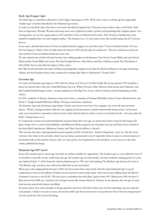#### **Dark Age (Copper Age)**

The Dark Age or sometimes referred to as the Copper Age began in 1985. Why I don't want to call this age the supposedly "modern age" is further described in the Diamond Age section.

As with our real Dark Ages, this term is not meant literally but figuratively. Characters such as Barry Alan as the Flash, Clark Kent as Superman, Wonder Woman and many more were replaced by darker, grittier and psychologically complex aspects. As a starting point, we can once again, glance at DC and their Crisis on Infinite Earths event. After 50 years of publication, they needed to simplify their rich and complex mythos. The solution was a 12-issue mini-series that would change the DC Universe forever.

If you want a detailed discussion of Crisis on Infinite Earths I suggest you read the article "'Crisis on Infinite Earths' 30 Years On" by Gregory L. Reece. First, he talks about the history of DC and the idea of a multiverse. Then he continues to point out why and how Crisis on Infinite Earths was such a hit.

DC also released one of their all-time favorite, best-selling graphic novels Batman: Year One by Frank Miller and artist David Mazzucchelli. Frank Miller also wrote The Dark Knight Returns. Alan Moore and Dave Gibbons created The Watchmen (I don't think I have to describe the impact of this comic).

But "Marvel also had their fair share of Dark, psychologically complex stories like the Morlock Massacre, Scourge murdering villains, and the Punisher being a hero compared to dirtbags like Nuke or Sabretooth." (Grand, 2016)

#### **Extreme Age**

For some, the Extreme Age began in 1991 with the release of X-Force #1 by Rob Liefeld. But in my opinion 1992 would be a better fit, because that is the year Todd McFarlane, Jim Lee, Whilce Portacio, Marc Silvestri, Erik Larsen, Jim Valentino, and Rob Liefeld founded Image Comics - former employees of the Big Two. It was a little revolution and the beginning of indie comics.

In 1993 a coalition of African-American artists and writers, consisting of Dwayne McDuffie, Denys Cowan, Michael Davis, and Derek T. Dingle founded Milestone Media. They gave minorities a platform.

The Extreme Age took the Bronze Age further. Darker anti-heroes were born. For example, one of my all-time favorites: Spawn. "While a strange assailant stalks the city, ripping out human hearts, another otherwordly being arrives. As his mind reels, our tortured hero remembers that he struck a deal with the devil in order to return to his beloved wife - five years after his death." (imagecomics; n.d.)

It is important to point out such developments and give them their own age, no matter how short it may be. But Image still plays a huge role as a comic book publisher, and Milestone Media inspired a lot of people (you can read their story in detail in the book Black Superheroes, Milestone Comics, and Their Fans by Jeffrey A. Brown).

This was also the time, trade paperbacks became popular and DC started their \_Death of Superman\_ story-arc. But the word "extreme" also refers to the artwork, which was not always anatomically correct (especially when it comes to certain features of the female body or the muscles of men). Also, we were given a lot of gimmicks in the storylines, as you can see in the early comics published by Image.

#### **Diamond Age (1997-now)**

Some call it modern age or movie age, but both are neither suitable nor appropriate. The modern age is a very subjective term. If we would be in the 80s we also could name the age "the modern age of comic books," but that would do nothing good. Or as the user Spider10 (July 17, 2016) from the website playbuzz puts it: "We can't call anything 'The Modern Age' because let's face it: 'The Modern Age' you have now will not be called that in the near future."

Movie age is also inappropriate because it shifts the focus away from comic books. But the name Diamond Age is a good compromise to hint at the millions of dollars movies based on comic books make. And I am not just talking about the Marvel Cinematic Universe or the DCEU. We also have to remember the early films. Spawn from 1997, Blade from 1998, the first X-Men movie from 2000, etc. And don't let us forget movies like Atomic Blond or Valerian. In my opinion, the real age of comic book movies started with Spawn and Blade.

Of course, there were some attempts to bring superhero movies to life before those two, but the technology was not ready for such projects. I think it was also an issue, that movies didn't get that much money to be produced. One of the first mega-projects of such a kind was The Lord of the Rings.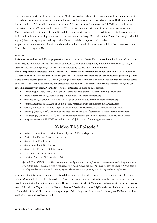Twenty years seems to be like a huge time span. Maybe we need to make a cut at some point and start a new phase. It is too early for such a drastic move, because who knows what happens in the future. Maybe, from a DC Comics point of few, we could use 2011 or 2016 for a new beginning. 2011 was the new52 initiative and 2016's Rebirth (but this is connected to the new52, so it would have to be 2011). Or we could start with one of the many, many, many events Marvel had over the last couple of years. Or, and this is my favorite, we take a step back from the Big Two and take an indie comic to be the beginning of a new era. It doesn't have to be Image. We could look at Boom! for example, who did a great job at creating original, exciting comics. Valiant could also be a possible alternative.

As you can see, there are a lot of options and only time will tell, in which direction we will have had been moved on to (does this make any sense?!).

#### **sources**

Before we get to the usual bibliography-section, I want to provide a detailed list of everything that happened beginning with 1933, up until now. You can find the list at bipcomics.com, and though they did not divide the eras as I did, for example, their Golden Age began in 1933, it is an interesting list with a lot of information.

If you are specifically interested in the history of DC Comics, I can recommend the books by Paul Levitz. He wrote an XL hardcover book series about the various ages of DC. I have not read them yet, but the reviews are promising. There is also a visual history guide of DC Comics (although from another author). And finally, you can read the limited comic book series The Comic Book History of Comics published at IDW. The resource on various topics are vast, and you could fill libraries with them. Pick the topic you are interested in most, and get started.

- Spider10 (July 17th, 2016). The Ages Of Comic Books Explained. Retrieved from paybuzz.com
- Proto-Superhero (n.d.). Retrieved September 27th, 2017 from tvtropes.org
- tvtropes (n.d.). Useful Notes / The Silver Age of Comic Books. Retrieved from tvtropes.org
- **•** behindthecomics (n.d.). Ages of Comic Books. Retrieved from behindthecomics.weebly.com
- Grand, A. (Oct 6, 2016). The 8 Ages of Comic Books. Retrieved from comicbookhistorians.com
- Henry, J. (Nov 1, 2016). Which was the first comic book ever? [comment]. Retrieved from quora.com
- Strausbaugh, J. (Dec 14, 2003). ART; 60's Comics: Gloomy, Seedy, and Superior. The New York Times.
- imagecomics (n.d.). SPAWN #1 [publication info]. Retrieved from imagecomics.com

# **X-Men TAS Episode 3**

- X-Men: The Animated Series | Season 1 Episode 3: Enter Magneto
- Writer: Jim Carlson, Terrence McDonnell
- Story Editor: Eric Lewald
- Story Consultant: Bob Harras
- Supervising Producer: Will Meugniot
- Line Producer: Larry Houston
- Original Air Date: 27 November 1992

*Synopsis (from IMDB): As the Beast waits for his arraignment in court in front of an anti-mutant public, Magneto tries to break Beast out of jail, only to receive resistance from Beast. An old enemy of Wolverine's pops up, and the X-Men take him in. Magneto then attacks a military base, trying to bring mutants together against the oppression brought upon.*

After watching this episode, I am more confused than ever regarding where we are on the timeline. In the first two episodes Storm told Jubilee that she graduated Xavier's school already but decided to stay, because the X-Men are an excellent institution for mutants and a haven. However, apparently the X-Men never had any foes in those days because none of them know Magneto (except Charles, of course). So they lived peacefully(?), and now all of a sudden threats rise left and right of them? All of this seems very strange. It's like they needed an excuse for the original X-Men to be older and had no better idea of how to do it.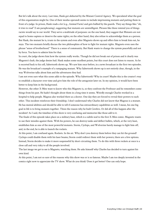But let's talk about the story. Last time, Hank got abducted by the Mutant Control Agency. We speculated what the goal of this organization might be. One of their modus operandi seems to include imprisoning mutants and putting them in front of a judge. In prison, Hank reads a lot (e.g., Animal Farm) and gets bullied by the guards. They say things like: "oh, it tries to read" (I am paraphrasing), suggesting that mutants are unintelligent. Phrases like these remind you of things racists would say in our world. They serve a multitude of purposes: on the one hand, they suggest that Mutants are not equal to homo sapiens or deserve the same rights; on the other hand, they also refuse to acknowledge them as a person. But Hank, the mutant he is, trusts in the system and even after Magneto shows up and offers him to break him out, he stays. The two mutants briefly discuss the two philosophies of how to fight for mutant rights. Magneto even uses the phrase "sense of brotherhood." There is a sense of community. But Hank wants to change the system peacefully and not by force. You have to admire him for that.

In court, the judge shows him how the system really works. Though he did not break out of prison and it clearly was Magento's fault, the judge denies bail. Hank makes some excellent points, but this court does not listen to reason. As he is escorted back to his cell, Sabertooth shows up. We saw him once before, in a news broadcast in the first two episodes. He was the broadcast's example of a rampaging mutant. Why Sabertooth shows up is not entirely clear, though, in the way Wolverine talks about him and the adventures they had.

I am not even sure what this scene adds to the episode. Why Sabertooth? Why in court? Maybe this is the creator's way to establish a character over time and give him the role of the antagonist later on. In my opinion, it would have been better to keep him in the background.

However, the other X-Men want to know who this Magneto is, so they confront the Professor and he remembers some things from his past. He hadn't thought about them in a long time it seems. Weirdly enough Charles worked in a hospital to help people. Magnus also worked there as a doctor. One day they are forced to reveal their powers to each other. This incident reinforces their friendship. I don't understand why Charles did not know that Magnus is a mutant. He has mental abilities and should be able to tell if someone has extraordinary capabilities as well. I mean, his one big goal in life is to bring mutants together. Thisis the reason why he built Cerebro. Or did all of this happen after the incident? As I said, the timeline of this show is very confusing and memories like those add to it.

The finale of this episode takes place on a military base, which is a subtle nod to the first X-Men comic. Magneto wants to use their missiles against them. With his powers, he can destroy tanks and deflect bullets, which, at the very least, establishes him as one of the most powerful mutants. Storm, Cyclops, and Wolverine barely manage to fight him off, and, in the end, he is able to launch the rockets.

At this point, I am confused again. Rockets. In the air. Why don't you destroy them before they can hit the ground? Cyclops could disable them with his laser beams; Storm could redirect them with her powers; there are a few options. Instead, Storm decides to make it more suspenseful by short-circuiting them. To do this with three rockets at once is a close call and very risky to all the people involved.

The last image we get to see is Magneto, watching them. He asks himself why Charles has decided to turn against his own kind.

At this point, I am not so sure of the reasons why this show was or is so famous. Maybe I am too deeply invested in the comics right now to appreciate the TV show. What do you think? Does it get better? One can only hope.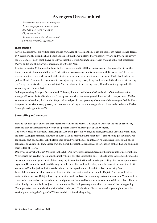# **Avengers Disassembled**

*"It's never too late to start all over again To love the people you caused the pain And help them learn your name Oh, no, not too late It's never too late to start all over again" ("It's never too late", Steppenwolf)*

# **Introduction**

As you might know, I am writing these articles way ahead of releasing them. They are part of my media science degree. In November 2017 Brian Michael Bendis announced that he would leave Marvel (after 17 years) and work exclusively for DC Comics. I don't think I have to tell you that this is huge. Ultimate Spider-Man was one of his first projects for Marvel and is one of my favorite incarnations of Spider-Man.

Bendis also created Miles Morales, Peter Parker's successor and in 2004 he started writing Avengers. He did for the Avengers, what Claremont did for the X-Men. Some even compare Bendis' influence with Kirby or Lee. This is the reason I wanted to take a closer look at the stories he wrote and how he reinvented the team. To do that I follow the podcast Bendis Assembled - if you want to take a journey through everything Bendis did with the characters involving the Avengers, this is where you should start. You can also check out the Legendary Runs Podcast (e.g., episode 45, where they talk about Alias)

So I began reading Avengers Disassembled. This storyline starts with issue #500, ends with #503, and fades off in Avengers Finale #1 before Bendis starts from square one with New Avengers #1. I learned, that one particular X-Men, who was introduced way back in the 60's played a vital part in the upcoming adventures of the Avengers. So I decided to integrate this stories into my project, and here we are, talking about the Avengers in a column dedicated to the X-Men (we might do it again for AvX).

# **Storytelling and Artwork**

How do you take apart one of the best superhero teams in the Marvel Universe? As we see at the end of issue #501, there are a lot of characters who were at one point in Marvel's history part of the Avengers.

The story focuses on Hawkeye, Scott Lang aka Ant-Man, Janet aka Wasp, She-Hulk, Jarvis, and Captain Britain. They are at the Avenger's mansion. Hawkeye and Ant-Man discuss who there "can't have"'s are: "the one girl you know you can't have." Out of a sudden, a shrill alarm goes off and warns them of an intruder. Was it disrespectful to talk about colleagues or villains like that? Either way, the signal disrupts the discussion as to say enough of that. The one punishing them is Jack of Hearts.

Don't you know who that is? Welcome to the club! Due to vigorous research (reading the first couple of paragraphs on Wikipedia) I can say, that he is not just a mighty being, but also a miserable one. He has to wear a customized suit, so he does not explode and spends a lot of time every day in a contamination cell, also to preventing him from a spontaneous explosion. He should be dead - and the way he looks he still is - and walks calmly onto the lawn of the mansion. Scott walks up to Zombie-Jack and tries to talk to him. But he explodes in a colossal fire-blast, pulverizing Scott. Parts of the mansion are destroyed as well, so the others are buried under the rumble. Captain America and Falcon arrive at the scene, as a Quinjet, flown by the Vision crash-lands on the remaining parts of the mansion. Vision walks a couple of steps, dissolves, melts to be exact, and pours out five metal balls which transform into Ultron robots. They can miraculously contain this threat just at the moment as She-Hulk goes rogue - unable to process all that is happening. The anger takes over, and she rips Vision's dead body apart. Not horizontally (at the waist) as you might expect, but vertically - exposing the "organs" of Vision. And that is just the beginning.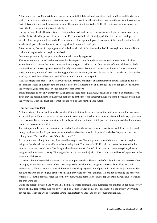A few hours later, as Wasp is taken care of in the hospital (still shrunk and in critical condition) Cap and Hawkeye go back to the mansion, to find every Avenger ever ready to investigate the situation. However, the day is not over yet. A fleet of Kree ships attacks the mourning group. The interesting thing is that SHIELD's Helicarrier cannot detect the fleet - the first clue something is not right here.

During the huge battle, Hawkeye is severely injured and as I understand it, hit with an explosive arrow or something similar. Before the thing can explode, he takes a Kree and with the aid of his Jetpack flies into the mothership. His sacrifice does not go unnoticed, as the Kree are connected beings and if you take out one of their motherships they all are defeated (please let me know if I am wrong since I am not a Kree-Expert).

After the battle, Doctor Strange appears and tells them that all of this is some kind of chaos-magic interference. Not a trick - it all happened - but magic is involved.

Before we get to the big bad guy, let's talk about what exactly happened.

The Avengers are no more. In the Avengers Finale #1 special one-shot, the core Avengers, at least those still alive, assemble one last time at the ruined mansion. Everyone gets to tell his or her favorite part of their rich history. Each contained within one two-page-spread and briefly summarized. Even if you have not read most of those stories (as I have), it is a very emotional situation. Saying goodbye and knowing, it's over. At least in this constellation. Scott is dead. Hawkeye is dead. Jack of Hearts is dead. Wasp is injured and in the hospital.

Also, this magic trick made Tony Stark (who is the Secretary of Defense at that time) seem drunk, though he had not one drink in weeks or even months and is now discredited. He loses a lot of his money (he is no longer able to finance the Avengers), and some of his friends don't trust him anymore.

Bendis managed to not only destroy the Avengers and there home physically, but he also does it on an emotional level. Trust that the person next to you has your back is one of the most fundamental things of a team. Especially a team like the Avengers. With this trust gone, what else can you do than hit the pause button?

#### **Remnants of the Past**

As I said before, I know Bendis mostly from his Ultimate Spider-Man run. One of the best things about him as a writer are his dialogues. They feel natural, authentic and it seems supernatural how he implements complex, heavy topics into conversations. Even the way characters talks, tells you a lot about them. I think you can pick any speech bubble and can name the character who said it.

This is important because the character responsible for all of the destruction and chaos is, as I said, from the 60s. And though we have met her in previous stories and talked about her, a lot has happened in the last 30 years to her. I am talking about \*\*Scarlet Witch aka Wanda Maximoff\*\*.

As the others are talking about her, they reveal her tragic past. She is apparently one of the most powerful magical beings in the Marvel Universe, able to reshape reality itself. The reason SHIELD could not detect the Kree with their sensors is that she created them. She thought them into existence. Out of thin air, she can create everything she can imagine, and it becomes a reality. This might also be the reason why Jack of Hearts, who should be dead, appeared at the beginning of the story.

It is essential to understand this concept: she can manipulate reality. She did this before. Mind, that I did no research on this topic, mainly because I want to be at least surprised a little bit when we get to this story later. However, as I understand it, Wanda wanted to have children and created a pregnancy out of pure will - with her magic abilities. She had two children and even gave birth to them. Still, they were not "real" children. We are not discussing the concept of what is "real" in this context. After the birth, a woman, whose name I don't know, repaired this mistake and so Wanda's children were gone.

Cut to the current situation and Wanda has fled into a world of imagination. Recreated her children in her mind to play house. She has lost control over her powers and, as Doctor Strange points out, imagination is the enemy. Everything can happen. With the Eye of Agamotto Strange can restrain Wanda, and she becomes unconscious.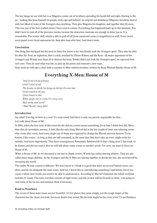The last image we see with her is as Magneto comes out of nowhere, spreading his hands left and right, floating in the air - looking like Jesus himself (in purple, with cape and helmet). In surprise and disbelieve (Magneto should be dead as well, but faked it) none of the Avengers does anything. They give Magneto his daughter, and together they fly away. This was one of the best-crafted scenes I have read in comics. Everything that happened leads up to this moment. You didn't have to read all of the previous stories, because the characters reactions are enough to draw you in. It is remarkable. The artistic skill, which is able to pull off all those emotional scenes is magnificent as well. Every word, every panel, every facial expression hit. Beat after beat after beat. And then it ends.

# **Conclusion**

One thing that intrigued me the most in these few issues is the way Bendis took the Avengers apart. They take hit after hit after hit. First, an explosion, then a crash, attacked by Ultron-Robots and the Kree - all major opponents of the Avengers and Wanda uses them all to destroy the team. Bendis didn't just took the Avengers apart, he ruptured their very core. Then he used what was left, to pick up the pieces and reinstate a new team.

Next week we will take a close look at another X-Men-related storyline, written by Brian Michael Bendis: House of M.

# **Everything X-Men: House of M**

*"And I find it kind of funny I find it kind of sad The dreams in which I'm dying are the best I've ever had I find it hard to tell you, I find it hard to take When people run in circles it's a very, very Mad world, mad world" ("Mad World", Gary Jules)*

### **Introduction**

Say what? Two big reviews in a row? It's crazy town! And there is only one person responsible for that… Let's talk about House of M!

In 2005, when the first issue of this event hit the shelves, events meant something. Or at least I think they did. More than they do nowadays, anyway. It feels like the only thing Marvel did in the last couple of years was releasing event after event after event. And every single one of them was supposed to change the Marvel universe forever. To be honest, I like events - as long as they are self-contained, in the sense that they don't take up every single series for months. And most importantly: They have consequences! Remember Battleworld? Is that a thing now? I lost track, to be honest, and did not read it. But we will talk about comic events in another article. For now, we want to focus on House of M.

What is House of M? As we discussed in our last in-depth review, Wanda has reality altering abilities. They are also called chaos magic abilities. As the Avengers and the X-Men are coming together to decide her fate, she saves herself by recreating the world.

The reality Wanda created is different. We don't know it. I think it is good that there are several limited series, oneshots, and tie-ins alongside the main event. And yes, I know this is contradicting something I said before, but if you create a whole new world, you need to be able to understand it. According to Marvel Unlimited, the whole storyline includes 51 issues. The main storyline consists of eight issues, and this review will be focused on those. I am going to read some of the tie-ins, and mention them if necessary.

### **Road to Nowhere**

The covers of these main issues are just beautiful. At first glance they seem simple, just the rough shapes of the characters but the closer you look, the more details they reveal. My favorite might be the cover of #4. To see Hawkeye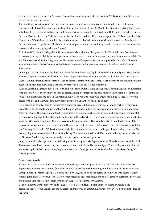on the cover, though he died in Avengers Disassemble, shooting arrow after arrow into Wolverine, while Wolverine lies on the ground - intriguing.

The first thing we get to see in the first issue is a dream or alternate reality Wanda wants to live in. Her brother Quicksilver aka Pietro Maximoff, her husband The Vision, and her fellow X-Men by her side. She is giving birth to her kids. It is a happy moment, and one can understand that she wants to live in this dream. Hold on to it as tight as she can. But then Xavier talks to her. Tells her that this is a lie. She has no kids. This is not a happy place. This is Genosha. Erik, Charles, and Wanda have chosen this place as their sanctuary. To hide from the world and try to make Wanda better. But does she want to get better? She is one of the most powerful mutants and magicians in the universe. I wonder if she is aware of this or just going with her fantasy?

As Erik and Charles are talking about Wanda, we see Erik without his Magneto outfit. This might be a first since we started our journey. It highlights the importance of the conversation. At this moment he is not Magneto or a villain. He is a father concerned for his daughter's life. He makes himself responsible for what happened to her. Also: The fight against humankind, the battles against the X-Men, Avengers, and others have taken a toll on him. He looks tired. Weary even.

Jumping to the new Avengers headquarters. After the team broke up, Cap has formed a new one: Spider-Man, Spider-Woman, Captain America, Wolverine, and Luke Cage are the New Avengers and already had their first missions, as Charles Xavier summons them, some X-Men and former members of the Avengers are also there. He summoned them, because he needs help in making a decision: Whether or not to kill Wanda Maximoff.

Who do you think agrees to take her down? Erik, who stayed with Wanda on Genosha is having the same conversation with his son, Pietro. Surprisingly, he kind of agrees. Killing her might be the only solution in stopping her. Emma Frost (who looks exactly like she does in the Astonishing X-Men run is the one who argues for killing Wanda. Wolverine agrees with her and asks Cap, how many more have to die until they put an end to her?

It is a discussion as old as comics themselves. Should the heroes kill villains if they keep coming back or if they are a major threat to the whole population? Should Batman kill Joker? When have enough people died to justify one more deliberate death? The discussion in Stark's apartment is one of the most intense arguments I have read in comics. Not just because of the excellent writing, but also because of the artwork. It is a vast topic. Some of the panels seem to be too small for what is put into them. This style creates a dense atmosphere. One could get claustrophobic, because of it. Cap considers Wanda an Avenger, so it should be for them to decide, and besides Wolverine, everyone is against killing her. The way Cap rebukes Wolverine is one of the best moments of the series. In the panel we see Wolverine and Cap casting a big shadow over him. It looks intimidating. You don't want to f\* with Cap. In the end, they decide to visit her on Genosha. So that they can see her and get a better picture of what is going on.

Jump to Genosha: We experience the following scene from Spider-Man's point of view. Wanda is gone, as well as Erik. The others are suddenly gone now, also. No one is there. He is alone. He sees the light. The world goes white. And he and wakes up in his bed. A baby is crying in another room. Peter gets up and looks after her, while Gwen Stacy, his wife, stays in bed.

### **Brave new world?**

Wanda did it. She created a whole new reality. Steve Rogers is not Captain America, Ms. Marvel is one of the last Superheroes who are not a mutant (and kills people?), Luke Cage is some underground boss, Sam Wilson a detective, Strange not the Sorcerer Supreme, Colossus still in Russia, and so on and so forth. The only one who seems to know what is going on is Wolverine. The last, two-page spread of the second issue shows a Helicarrier, surrounded by planes and Sentinel-like robots. All of them with the M-Logo. For Magneto? Or Mutant?

Usually, mutants are the minority on the planet. Hated. Feared. Hunted. Not anymore. Homo Superior is the dominating race. Homo Sapiens are the minority, and they will be extinct in a few more years. Wiped from the face of the earth.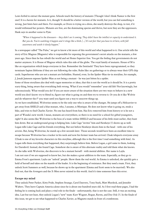Laws forbid to extract the mutant gene. Schools teach the history of mutants (Though I don't think Namor is the first one!) It is a haven for mutants. Is it, though? It should be a better version of the world, but you can feel something is wrong. Just hints here and there. For example, as Ororo is trying on a dress, she nearly destroys the shop, to test, if it would withstand her powers. Mutants are free, are the dominating species and thrive, but now they are the oppressors. Hank says in another scene to Pym:

*"When it happened to the dinosaurs- - they didn't see it coming. They didn't have the intellect or capacity to understand it. But you do. You're watching it happen and it stings like a bitch. […] It's not fair that you have to sit here, with full awareness and watch it slowly happen."*

In a newspaper called "The Pulse," we get to know a bit more of this world and what happened to it. One article tells the story of Eric Magnus (Magneto) who is responsible for exposing the government's secret attacks on the mutants, a few years ago. Since then he has rebuilt the world and set Homo Superior free. You get the feeling that governments do not matter anymore. It is House of Magnus which rules this side of the globe. The royal family of mutants. House of M is like an organization which keeps everyone in line. Remember the Sentinels? They have been reprogrammed, so they terminate Sapien lifeforms if they are not following the rules. Rules like: no gatherings or to always wear their GPS chip cards. Superheroes who are not a mutant are forbidden. Hunted, even. In the Spider-Man tie-in storyline, for example, J. Jonah Jameson exposes Spider-Man as not being a mutant - he was just bitten by a spider.

Some of those storylines also deal with vague memories or ideas, that this is not the world as it should be. It is a pretty scary thing, being aware that everything feels wrong. What if you would "remember" your old life? Not knowingly, but subconsciously. What would you do? If you are more aware of the situation there are two ways to behave in a new world you don't know: try to blend in, figure out what is going on and then try to reverse it. Or you do it like Wolvie and do whatever the f\* you want until you figure out a way to unscrew things up.

As we have established, Wolverine seems to be the only one who is aware of the changes. He jumps off a Helicarrier to get away from SHIELD and a blue mutant, who, I assume, is Mystique. He does not know what is going on, steals a bike, and tries to find Charles Xavier. No one has heard from him. Has Eric removed him from history or is he not a part of Wanda's new world. I mean, mutants are everywhere, so there is no need for a school for gifted youngsters, right? It also seems like Wolverine is the boss of a team within SHIELD and because of his little stunt earlier, they hunt him down. But an underground group is helping him. Luke Cage "invites" him and Hawkeye (!) shows up as well. Logan tells Luke Cage and his friends everything. But not before Hawkeye shoots him in the head - with one of his arrows. But, being Wolverine, he stands up a few seconds later. Those seconds would have been an excellent time to escape because Wolverine has a tracker in his neck and now his former team has arrived. Cloak teleports everyone away (Cloak is one of my favorite characters in this storyline, although this is the first time I read something with him). As Logan tells them everything that happened, they surprisingly believe him. Before Logan, a girl came to them, looking for Daredevil. Instead, she found Cage. Somehow she is aware of this alternate reality and told them what she knows. As she talks with Wolverine, she discovers to be a mutant herself - with mental abilities. Her name is Layla. I am not sure if we are supposed to know her, but she makes a great addition to the team. Especially, as they go to Emma Frost's apartment. Layla can "unlock" people. Show them the real world. As Emma is unlocked, she quickly gets a hold of herself and takes on the mantle of the leader. It is the beginning of resistance. But they need a team. First, they unlock Scott Summers as well, because he shows up in the apartment (Emma and Scott seem to be married). We also find out, that the Avengers and the X-Men never existed in this world. And it's time someone fixes this error.

### **Escape my mind**

They unlock Peter Parker, Kitty Pride, Stephen Strange, Carol Danvers, Tony Stark, Matt Murdock, and Jennifer Walters. They leave Captain America alone since he is about one hundred years old. As I first read these pages, I had the feeling he is coming back and plays a vital role in the finale - unfortunately, that is not the case. Still, it was an exciting idea. Last but not least, they unlock Logan's "new" team: Kurt Wagner, Rogue, Raven, and Doc Ock (?). In the finale of this issue, we get to see what happened to Charles Xavier, as Magneto stands in front of a tombstone.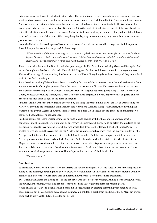Before we move on, I want to talk about Peter Parker. The reality Wanda created should give everyone what they ever wanted. Make dreams come true. Wolverine subconsciously wants to be Nick Fury, Captain America not being Captain America, and so on. Peter wants his uncle back and be married to Gwen Stacy. Understandable. He lives a happy life, made Spider-Man an icon - a role he plays. Not a hero. But as they unlock him, he is aware of all of the tragedy. All the pain. After the first shock, he wants to be alone. Wolverine is the one walking up to him - talking to him. What follows is one of the best scenes of this event. With everything that is going on around them, they have this intimate moment. Just those two characters.

Later, the Unlocked discuss the plan of how to attack House of M and put the world back together. And the question is: Should they put the world back together? As Jessica says:

*"When something of this magnitude happens… you have to step back for a second and say: maybe this was time for this to happen. Who are we to decide how the world's supposed to be? […] Maybe this is how mutants become the next dominant species. […]You don't know if I'm right or wrong and it scares the crap out of you. And it should."*

They take hit after hit after hit. Not physically but psychologically. For Peter, it means losing Gwen and Ben again. And he says he might not be able to hold back. He might kill Magneto for this. And the scary thought is: everyone agrees. This world is wrong. No matter what, they have put the world back. Everything depends on them, and they cannot hold back. So the final battle begins.

Since I read Astonishing X-Men Emma Frost is one of my favorite X-Men characters. She is devoted to the task at hand and is very capable of using her powers. She is the reason the team can infiltrate a Helicarrier, steal it and let the men and women commanding it fly to Genosha. There, the House of Magnus has some guests. King T'Challa, Victor Von Doom, Princess Ororo, King Namor, and Genis-Vell of the Kree Empire. It is a very impressive list of guests, and one can just hope they don't all fight in the name of Magnus.

In the meantime, while the others make a deception by attacking the party, Emma, Layla, and Cloak are searching for Xavier. As they find the tombstone, Emma cannot take it anymore. As she is falling to her knees, the only thing she wants to do is give up. Again: a powerful, intimate moment. But as Cloak checks out the grave, he finds nothing. No coffin, no body, nothing. What happened?

In a third setting, we follow Doctor Strange as he finds Wanda playing with her kids. She is not aware what is happening, and she does not care. But not in an angry way. She just wanted the world to be better. Manipulated by the one who pretended to love her, she created this new world. But it was not her father. It was her brother, Pietro. He wanted to save her from the Avengers and the X-Men. But as Magneto walked away from them, giving up, letting the Avengers and X-Men kill her (or not), Pietro talked Wanda into this. And she gave everyone what they ever wanted. As the fight reaches its climax, Layla unlocks Magneto. And as he realizes what his children did, what Pietro did in Magneto's name, he loses it completely. First, he restrains everyone with his powers (using every metal around them). Then, he kills his son. It is violent. Brutal. And not fun to watch. As Wanda follows the scene, she asks herself, why should they rule? What puts mutants above Homo Sapiens than mere luck? And she decides:

*"No more mutants."*

#### **Conclusion**

So this is how it ends? Well, nearly. As Wanda resets the earth to its original state, she takes away the mutant gene. Not killing all the mutants, but taking their powers away. However, Emma can shield some of her fellow mutants with her abilities. Still, before there were thousands of mutants, now there are a few hundred left. Decimated.

But, as Hank explains in the closing lines of the last issue: One does not destroy energy. And he is wondering, where all the power, all the energy, went. The last panel shows a red and yellow glowing force approaching earth.

House of M is a great event. Brian Michael Bendis did an excellent job by creating something with magnitude, with consequences, but also something personal and intimate. We will take a break from this time of the X-Men, but we will come back to see what the future holds for our heroes.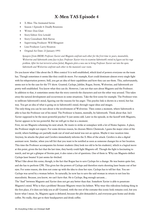# **X-Men TAS Episode 4**

- X-Men: The Animated Series
- Season 1 Episode 4: Deadly Reunions
- **■** Writer: Don Glutt
- Story Editor: Eric Lewald
- Story Consultant: Bob Harras
- Supervising Producer: Will Meugniot
- Line Producer: Larry Houston
- Original Air Date: 23 January 1993

*Synopsis (from IMDB): Professor Xavier and Magneto confront each other for the first time in years, meanwhile, Wolverine and Sabretooth come face to face. Professor Xavier tries to examine Sabretooth's mind to figure out his rage problem. After his last terrorist action failed, Magneto plots a new one to bring Professor Xavier out into the open. Sabretooth and Wolverine confront each other in the mansion's war room.*

Do you know what I like about the X-Men comics? It is well established, which kind of powers everyone on the team has. Though sometimes it seems like they could do more. For example, Kurt could dominate almost every single fight with his teleportation powers. Still, you get an idea of their capabilities and how they can use them. This, unfortunately, seems not to be the case for the TV show. Granted, Cyclops, Jubilee, Rogue, Storm, Wolverine, and Sabretooth are pretty well established. You know what they can do. However, I am not that sure about Magneto and the Professor. In addition to that, it sometimes seems that the story controls the characters and not the other way around. This takes away the natural development and occurrences in some situations. Take the first scene for example. The Professor tries to infiltrate Sabretooth's mind, figuring out the reasons for his anger. This psychic link is shown in a weird, but fun way. You get an idea of what is going on in Sabretooth's mind, through vague ideas and images.

The only thing you can be sure about is the involvement of Wolverine. Then comes a moment, where Sabretooth is able to ban the Professor out of his mind. The Professor is beaten, mentally, by Sabretooth. Think about that. Isn't Xavier supposed to be the most powerful psychic? It just seems odd. Later in the episode, in the faceoff with Magneto, Xavier appears to be too powerful. But we will get to that in a moment.

First, we see Magneto scheming his next attack. He wants to strike at someplace with a lot of Homo Sapiens. A place, the Professor might not expect. For some devious reason, he chooses Metro Chemicals. I guess the major cities of the world, where buildings are partially made out of steel and metal was not an option. Maybe it was vacation time. Anyway, he attacks the plant and Cerebro immediately informs the X-Men of the attack. Cerebro is also a digital assistant now. Similar, when you tell Siri that you want to be notified as soon as someone changes his or her location. This time the Professor accompanies his former students (they look too old to be his students), which is a logical move at this point, given the fact that the last time, they barely could fight Magneto off. Though the fight is fascinating to watch, and we get a glimpse of Storms past, it also raises a lot of questions. One of them is: Why can Magneto deflect Cyclops laser beams? It just seems far-fetched.

What I like about this scene, though, is the fact that Rogue has to save Cyclops for a change. He was beaten quite fast, and she has to perform CPR. This gives her the powers of Cyclops and therefore starts shooting laser beams out of her eyes. For some reason, she does not come up with the idea to close her eyes. Cyclops has to tell her that. You see - Cyclops was saved by a woman before. So naturally, he now has to save the said woman in return to not lose his masculinity. Because, you know, we can't have that. He is Cyclops. Bug enough sarcasm…

The "duel" between Magneto and Xavier does not get any better than that. Somehow Xavier is able to penetrate Magneto's mind. Why is that a problem? Because Magneto wears his helmet. Why wear this ridiculous looking thing in the first place, if it does not help you at all? Granted, with the rest of the costume this iconic look remains cool, but you know what I mean. So, Magneto again is defeated, because the plot demanded it, and everyone goes home and drinks coffee. No really, they get to their headquarters and drink coffee.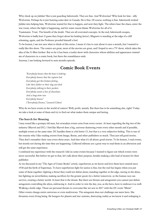Why check up on Jubilee? She is just guarding Sabretooth. They are fine. And Wolverine? Why look for him - silly Wolverine. Perhaps he is just hunting some deer in Canada. He is fine. Of course, nothing is fine. Sabretooth tricked Jubilee into helping him, Wolverine waited for that to happen, and now they fight. The others hear the chaos, enter the war room, where the fight is happening, and for some reason blame Wolverine for all of it.

Teammates. Trust. The benefit of the doubt. They are all overrated concepts. In the end, Sabretooth escapes, Wolverine is badly hurt (I guess they forgot about his healing factor), Magneto is standing at the edge of a cliff scheming, again, and the Professor proofed himself a fool.

To be honest, I am not sure what to think of this series. I mean it's fun to rant about it once a month, but I wanted to really like this show. The comics are great, most of the movies are great, and I hoped to see a TV show, which takes the idea of the X-Men further. But so far it has been a trashy show with characters whose abilities and appearance remind me of characters in a comic book, but there the resemblance ends.

Anyway, I am looking forward to next months episode.

# **Comic Book Events**

*"Everybody knows that the boat is leaking Everybody knows that the captain lied Everybody got this broken feeling Like their father or their dog just died Everybody talking to their pockets Everybody wants a box of chocolates And a long-stem rose Everybody knows" ("Everybody Knows," Leonard Cohen)*

Why do we have events in the world of comics? Well, profit, mainly. But there has to be something else, right? Today we take a look at some of them and try to find out what makes them unique and lasting.

# **The Search for Meaning**

I may sound like a grumpy old man, but nowadays events arise from every corner. At least regarding the big two of the industry (Marvel and DC). I feel like Marvel does a big, universe shattering event every other month and if possible, multiple events at the same time. DC handles them it a bit better (?), but that is a very subjective feeling. This is one of the reasons why I like reading stories from Image, Boom, and other publishers so much. They just tell good stories. They don't renumber their runs every three years. And that what it's all about: good stories. To be honest, I read events, but mostly not during the time they are happening. Collected editions are a great way to read them in an afternoon and still get the same experience.

I combined my experience with the research I did on some events because I wanted to figure out which events were more successful. But before we get to that, let's talk about their purpose, besides making a shit load of money for their publisher.

As we discussed in my "The Ages of Comic Books" article, superheroes as we know and love them have existed since 1938 and the birth of Superman. To have superheroes fight for justice is fine, but the real fun begins when you put some of them together: fighting a threat they could not defeat alone; standing together at the edge, staring in the abyss, but fighting on nevertheless; making sacrifices for the greater good, for a better tomorrow, so the human race can survive, creating a better world. At least that is the dream. But there are threats and antagonists you cannot just defeat: antagonists controlling the abyss, embracing it. And in order to win the day, you, as the hero, have to embrace it as well. Walking a knife-edge. Those are personal threats to overcome like we saw in 2017 with the DC event "Metal." Other events change entire universes or even multiverses. The antagonist does not challenge one mere hero. She threatens every living being. He hungers for planets and star-systems, destroying reality as we know it and reshaping it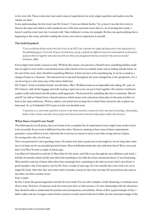in her own will. Those events don't just need a team of superheroes but every single superhero and maybe even the villains out there.

In my understanding, the first event was DC Comic's "Crisis on Infinite Earths." Or, at least it was the first event to deserve the name and which is still considered one of the best-executed events there is. As of writing this article, I haven't read the event (yet), but I certainly will. Take Goldstein's review, for example. He does not spoil anything that is happening in the event, and after reading the review, you want to experience it yourself.

# **The Gold Standard**

*"Crisis on Infinite Earths wasn't the first Crisis in the DCU, but it became the single defining event in the long history of the publishing giant. Crisis took 50 years of continuity, nearly a half-dozen different universes and hundreds of characters, squeezed them all together and came out with one shiny new playground that has existed for the past two decades" (Goldstein, 2006).*

Every single event needs a reason to exist. Without this reason, you just have a bloated story: something familiar made into an eight or even twelve-issue limited series with a bunch of tie-ins nobody wants and an ending nobody needs. At the end of the event, there should be something different. It does not have to be something big. It can be as small as a change of heart in a character. The adventure he or she had throughout the event changed his or her perspective. Or, it can be as big as a new status quo of the entire multiverse.

DC Comic's "Crisis on Infinite Earths" was the latter. Marv Wolfman took on an impossible task: taking 50+ years of DC's history, with all the baggage and stuff, tearing it apart just so he can put it back together. He created a world new readers could understand and old readers could appreciate. The keyword for something like this is continuity. Marvel and DC (as well as Valiant) have a shared universe, which means every adventure takes place in the same world or at least in the same multiverse. Writers, editors, and artists have to keep this in mind when characters die or places are destroyed. Or, as Friedenthal (2011) puts it in his very detailed essay:

*"Continuity in a comic book superhero universe is the meta-narrative created out of the sum total of meetings, relationships, battles, births, deaths, and other twists of plot and characterization that have taken place within that universe."*

# **What Does a Good Event Need?**

The following list, by all means, does not intend to be a complete list of requirements every single event needs to have to be successful. Every event is different from the other. However, meeting at least some of these requirements guarantee a more effective event, otherwise the event has no reason to exist or just feels wrong and out of place. *Do not drag other titles into this mess.*

This is my personal #1 rule regarding events. No matter how bad or good your event might be, do not drag other titles into it (at least not for an extended period of time). Marvel definitely broke this rule with their Secret Wars event and their Civil War II event a couple of moons ago.

I use Marvel Unlimited to read the X-Men titles for this series, and I like to go through the new additions each week. I feel like for months almost all the new titles had something to do with the events mentioned above. It was frustrating. Why should I read any of those titles when they seemingly have something to do with an event I don't care about? A good example is the Convergence vent by DC from a couple of years ago. For two months this event took over every single DC book. After that they were done with it (another reason for the event was that DC moved from one coast to the other, but that's another story).

#### *Keep it simple.*

By this, I mean the general approach towards the story itself. You can tell a complex, world-shattering, or intimate story all you want. However, if someone reads the event years later or does not has a 25-year relationship with the characters, they should be able to understand the premise and consequences, nevertheless. House of M is a good example of that. I didn't really read any Avengers comics before and just recently started with the X-Men, but the emotional weight of the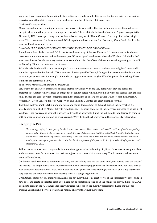story was there regardless. Annihilation by Marvel is also a good example. It is a great limited series involving exciting characters, and, though it is cosmic, the struggles and punches of the story hit every time.

# *Don't miss the shipping dates.*

Marvel missed some of the shipping dates of previous events by months. This is a no-brainer no-no. Granted, artists can get sick or something else can come up, but if you don't have a bit of a buffer, that's on you. A great example is the 52 event by DC. It was a year-long event with new issues every week. That's 52 issues! And they didn't miss a single week. That is awesome. On the other hand, DC changed the release schedule for "Doomsday Clock," and I feel like this event will be done when I retire.

# *Don't do the "WILL THIS EVENT CHANGE THE COMIC BOOK UNIVERSE FOREVER?" tease.*

Sometimes it feels like Marvel and DC do not know the meaning of the word "forever." It does not mean for the next two months and then we are back at the status quo. What intrigued me the most about the "Crisis on Infinite Earths" event was the fact that almost every review wrote something like: the effects of the event were long-lasting or can still be felt today. This is the utilization of "forever."

Take Marvel's Battleworld as another example. I read some reviews and listen to podcasts regularly, but I cannot tell you what happened to Battleworld. With a new earth reimagined by Doom, I thought this was supposed to be the new status quo, or at least exist for a couple of months or trigger a new event, maybe. What happened? I am asking! Please tell me in the comments below…

*Be true to the characters, and let them make sacrifices.*

Stay true to the characters themselves and also their motivations. Why are they doing what they are doing? If a character like Captain America faces an antagonist he cannot defeat (which he would do without a second thought, just so his friends can come up with something else in the meantime or to save one civilian), then let him die heroically. Apparently "Green Lantern: Sinestro Corps War" and "Infinity Gauntlet" are great examples for that.

The thing is, if you want to tell a story of a hero gone rogue, then commit to it. Don't quit on the story when it is already being published, as Marvel did with "Shadowland." The main character of the story was supposed to be bad all of a sudden. They had reasons behind his actions so it would be believable. But at the last minute they decided to come up with another solution and pretend he was possessed. Why? Just so the character would be more easily redeemable?

# **Changing the Past**

*"Retconning, in fact, is the key way in which comic creators are able to combat the "oneiric" problems of serial storytelling pointed out by Eco, as it allows creators to rewrite the past of characters so that they pulled back from the death that each action moves them inevitably toward. Retconning is revision of the comic book universe to make that universe fresh and exciting for contemporary readers, but it also involves the influence of the past, as it directly inscribes itself upon that past" (Friedenthal, 2011).*

Telling stories of a particular magnitude time and time again can be challenging. So, if you don't have any original ideas at the moment, don't force an event into existence, just so you make a bit more money. You have to earn the event on many different levels.

On the one hand, you have to commit to the story and everything in it. On the other hand, you have to earn the trust of the readers. You might have a lot of loyal readers who have been buying your stories for decades now, but there are also a lot of new readers out there as well. And maybe the event you are currently telling is their first one. They deserve the very best you can offer. Once you have lost this trust, it is tough to get it back.

Often times I think: just tell great stories. Events are not everything. Tell great stories of the characters we love; bring in new ones, and create unexpected team-ups. There can be something going on in the background if you'd like (e.g., DC's attempt to bring in the Watchmen into their universe) but focus on the monthly stories first. Those are the ones creating a relationship between creator and reader. The events are just the topping.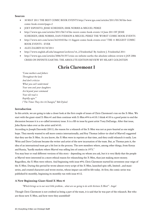# **Sources**

- 30 MAY 2011 THE BEST COMIC BOOK EVENTS http://www.ign.com/articles/2011/05/30/the-bestcomic-book-events?page=2
- JOEY ESPOSITO, JESSE SCHEDEEN, ERIK NORRIS & MIGUEL PEREZ
- http://www.ign.com/articles/2011/06/14/the-worst-comic-book-events 14 June 2011 BY JESSE SCHEDEEN, ERIK NORRIS, DAN IVERSON & MIGUEL PEREZ THE WORST COMIC BOOK EVENTS
- http://www.mtv.com/news/2621010/the-11-biggest-comic-book-events-ever/ THE 11 BIGGEST COMIC BOOK EVENTS - EVER
- **ALEX ZALBEN 03/10/2011**
- http://www.english.ufl.edu/imagetext/archives/v6\_2/friedenthal/ By Andrew J. Friedenthal 2011
- http://www.ign.com/articles/2006/01/07/crisis-on-infinite-earths-the-absolute-edition-review 6 JAN 2006 CRISIS ON INFINITE EARTHS: THE ABSOLUTE EDITION REVIEW BY HILARY GOLDSTEIN

# **Chris Claremont I**

*"Come mothers and fathers Throughout the land And don't criticize What you can't understand Your sons and your daughters Are beyond your command Your old road is Rapidly agin.'" ("The Times They Are A-Changin,'" Bob Dylan)*

# **Introduction**

In this article, we are going to take a closer look at the first couple of issues of Chris Claremont's run on the X-Men. We start with the giant-sized X-Men #1 and then continue with X-Men #94 to #110. I think #110 is a good point to end the discussion because it is a so-called inventory issue. It is a fill-in issue by guest artist Tony DeZuniga. After that issue, John Byrne takes over as the artist until #143.

According to Joseph Darowski (2011), the reason for a relaunch of the X-Men was not as pure-hearted as one might hope. They merely wanted to sell more comics internationally, and Roy Thomas (editor-in-chief of Marvel) suggested that they use the X-Men. As you know, the X-Men were in reprints at that time, and they could relaunch it easily. Len Wein and Dave Cockrum became the writer and artist of the new incarnation of the team. But, as Thomas puts it, the idea of an international team got a bit lost in the process. The new members where, among other things, from Kenya and Russia, "hardly markets where Marvel was selling lots of comics in 1975."

You may hear or read different versions of this story - depending on whom you ask, but it is very likely that the people at Marvel were interested in a more ethical reason for relaunching the X-Men, than just making more money. Regardless, the X-Men were reborn. And beginning with issue #94, Chris Claremont started his seventeen-year reign of the X-Men. During this period he wrote almost every script of the X-Men, launched spin-offs, limited-, and maxiseries, and created characters and wrote stories, whose impact can still be felt today. At first, the comic series was published bi-monthly, beginning its monthly run with issue #112.

# **A New Beginning: Giant-Sized X-Men #1**

*"Which brings us to our next little problem… what are we going to do with thirteen X-Men?" - Angel*

Though Chris Claremont is not credited as being a part of the team, it is said that he was part of the relaunch. But who are those new X-Men, and how were they assembled?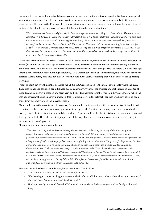Conveniently, the original mutants all disappeared during a mission on the mysterious island of Krakoa (a name which should ring some readers' bells). They were investigating some strange signs and just vanished, only Scott survived to bring the horrible news to the Professor. In response, Xavier starts a journey around the world to gather a new team of mutants. They should not only save the original X-Men but also become part of them.

*"This new team members were Nightcrawler (a German teleporter named Kurt Wagner), Storm (Ororo Munroe, a weather controller from Kenya), Colossus (the Russian Peter Rasputin who could turn his flesh to steel), Banshee (the Irishman Sean Cassidy who had a sonic scream), Warpath (John Proudstar, a Native American with super‐strength), Sunfire (a fire‐ wielder from Japan named Shiro Yoshida), and Wolverine (the Canadian with claws and a healing factor known only as Logan). Not all of these characters would remain X‐Men for long, but this relaunch firmly established the X‐Men as a team that embraced international characters in a way that other Marvel superhero teams, such as the Avengers or the Fantastic Four, rarely have" (Darowski, 2011, p. 123).*

As the new team lands on the island, it turns out to be a mutant in itself, created by accident via an atomic explosion, of course (a remnant of the atomic age of comic books?). They defeat their enemy with the combined strength of Storm and Lorna Dane. And, the Professor helps to distract the mutant island while they prepare their attack. It is the first sign that this new iteration does some things differently. Two women save them all. In past issues, this would not have been possible. At this point, Jean does not play a very active role in the story, something that will be corrected in upcoming storylines.

I want to point out two things that bothered me a bit. First, Ororo is a god to the indigenous people where she lives. They pray to her and count on her aid if need be. To control every part of the weather and make it rain in a matter of seconds can be a powerful weapon and seem very god-like. The narrator says that "her liquid eyes grow dark" when she uses her powers, which is a powerful image in itself. Unfortunately, in the artwork, her eyes are shown as being plain white (they become white in the movies as well).

My second issue is the recruitment of Colossus. The story of his first encounter with the Professor is a bit far-fetched. His sister is in danger of being run over by a tractor in an open field. Tractors can be very loud; how can you be driven over by them? She just sits in the field and does nothing. Then, when Peter has her in his hands, he just stands there and destroys the vehicle. He could have just jumped out of the way. The author could not come up with a better story to introduce us to Peter's powers?

Either way, the new team is assembled and...

*"There was not a single white American among the new members of the team, and many of the minority groups represented had been the subject of widespread prejudice in the United States, much of it institutionalized by the government. Germans were mistrusted after World War II and the well‐publicized horrors of the Holocaust. Africans have a long history of suffering from prejudice in America beginning with the slave trade. The general feelings toward Russians during the Cold War were far from friendly, and having an Eastern European accent could lead to accusations of Communism. Anti‐ Irish sentiment was strongest in the mid‐1800s in the United States when discrimination in the workplace included the posting of NINA signs in want ads (No Irish Need Apply). Native Americans have been mistreated within the United States since settlers first reached the country's shores, and the forced movement onto reservations is only one of a long list of grievances. During World War II the federal Government forced Japanese Americans to live in internment camps because of mistrust" (Darowski, 2011, p.125-126).*

Before we leave the Giant-Sized relaunch, here are some irrefutable facts:

- The school of Xavier is placed in Westchester, New York.
- We already get a sense of a bigger universe as the Professor tells his new students about their new costumes: "I obtained them from a man named Reed Richards."
- Hank apparently graduated from the X-Men and now works with the Avengers (and he finally is blue and furry).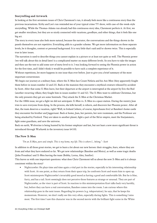# **Storytelling and Artwork**

In looking at the first seventeen issues of Chris Claremont's run, it already feels more like a continuous story than the previous incarnations. Kirby and Lee's run reminded me of your typical crime TV show, with case-of-the-week-style storytelling. While the Thomas-Adams run already had this continuous story idea, Claremont perfects it. At first, we get smaller storylines, but they are so nicely connected with vacations, goodbyes, and other things, that it feels like one big act.

The story in every issue also feels more natural, because the narrator, the conversations and the things shown in the panels themselves are not repetitive. Everything adds to a grander scheme. We get more information on these separate levels, be it thoughts, context or personal background. It is very little that's said and/or shown twice. This is especially true in later issues.

The narration is used to describe things you cannot explain in a picture or at least not quite as well. The Phoenix power (we will talk about this in detail later) is a complicated matter on many different levels. So you have to take the images and then use the text to add some sort of meta-level to it. I was looking forward to seeing the Phoenix power in action for the first time, and I didn't think it would be possible to have such a complete experience of it.

Without repetitions, lot more happens in one issue than ever before. Just to give you a brief summary of the most important cornerstones:

We begin our journey at a military base, where the X-Men face Count Nefaria and his Ani-Men (they apparently fought them before in issues number 22 and 23). Back at the mansion they encounter a mythical creature released by accident by Scott. After that some X-Men leave, but their departure at the airport is interrupted at the airport by Eric the Red (another recurring villain; they fought him in issues number 51 and 52). The X-Men want to celebrate Christmas, but the only presents they get are some Sentinels. They attack the X-Men at the Christmas Market.

For the 100th issue, we get a fight we did not anticipate: X-Men vs. X-Men in a space station. During the reentry Jean tries to save everyone from dying. In the process, she kills herself, is reborn, and discovers her Phoenix power. After all that, the team deserves a vacation, right? Well, in Ireland (where, of course, leprechauns live) at Banshee's home castle they encounter his brother and Juggernaut. Back at home, Jean, her parents, her new roommate, and the Professor are being attacked by Firelord. They are taken to another planet, fight a part of the Shi'ar empire, meet the Starjammers, fight some guardians, and save the universe.

Back on earth, Wolverine is being hunted by his former employer and last, but not least a new more significant threat is introduced through Warhawk in the inventory issue (#110).

### **The New X-Men**

#### *"I'm an X-Man, pure and simple. This is my home, my life. This is where I… belong." - Scott*

In addition to all those great stories, we get to learn a lot about our new heroes: their struggles, fears, where they are from and what they have endured so far. We get new relationships (Banshee and Moira), as well as some tragic deaths (John Proudstar) and X-Men leaving the team (Bobby, Lorna, Alex, Sunfire).

This leaves us with one important questions: what does Chris Claremont tell us about the new X-Men and is it always consistent within the story?

▪ Nightcrawler: He plays time and time again a vital part in the stories, especially in his interesting relationship with Scott. At one point, as they return from their space trip, he confronts Scott and wants him to open up. Scott misinterprets Nightcrawler's invariably good mood as having a good and comfortable life. But he is blue, furry, and has a tail. Scott seemingly does not perceive those features as strange or unusual. They are part of Nightcrawler, as the visor is part of Scott. In reaction to this misinterpretation Kurt talks back very harshly, but, before they can have a real conversation, Banshee comes into the room. I am curious where this relationship goes in the next issues. Regarding his powers (e.g. teleportation), he says, that he keeps his momentum. However, we don't really see this very often, especially during fights. This is something I miss most. The first time I saw this character was in the second movie with the brilliant fight scene in the White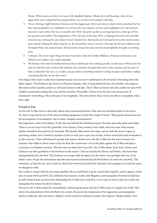House. When used correctly, he is one of the deadliest fighters. Maybe he is still learning. Also, he has apparently never teleported two people before. So, we have to be patient with him.

- Ororo: During a fight between Colossus and the Juggernaut, Ororo just lies in a dark corner, paralyzed by her fear (claustrophobia). In a flashback we see how she was raised or at least some highlights of it. Her parents moved to Cairo when she was six months old. There she grew up like an average kid, but, at the age of five, her parents were killed. This happened in 1956, the year of the Suez War. A damaged aircraft is hit and falls from the sky, striking the area where Ororo's family lives. She barely survived and lived on the streets until a man named Achmed El Gibàr took her in. He showed her how to survive. One day she left and walked to the Serengeti Plain, her natural home. She learned to forget her past, but the claustrophobia brought everything back.
- Colossus: The most tragic thing we learn from him is that his brother Mikhail, a Russian cosmonaut, was killed by an accident. His rocket exploded.
- **•** Wolverine: One time he briefly mentions his troubled past, but nothing specific. In this issue (#98) he uses his claw for the first time without the uniform. His comrades thought they were in the costume and not part of him (a reminder that you, as a reader, can get used to something buthave to keep an open mind when reading something like this for the first time).

One thing I don't want to talk about (mainly because I am not sure I understand it all correctly) is the thing about the Shi'ar empire. The Professor has Visions of Princess Lilandra, who is being hunted by her own brother, the emperor. She seems to have psychic powers as well and connects with him. The X-Men are drawn into this conflict by issue #105. I highly recommend reading this issue and the storyline. Personally, I find it to be the first real strong point of Claremont's storytelling. I like it because of its complexity. The story shows what comics are able to accomplish, when done right.

#### **Friend or Foe**

At first, the X-Men have to deal with villains they encountered before. New ones are introduced later in the series. Dr. Steve Lang may be one of the most terrifying antagonists of this first couple of issues: "My goal has always been not the investigation of mutantkind--but its total, complete extermination!"

His inspiration comes from Bolivar Trask, the man behind the Sentinel program. He plans genocide, plain and simple. There is no nice way to say this: genocide, every mutant. Every woman, every child, and every man with mutant abilities should be destroyed by his Sentinels. We already talked about this topic, and we will talk about it again in upcoming articles, but I wanted to mention it here as well, just to give you an idea, of how rooted this kind of mindset is in this universe. There will always be people who want to destroy not only the X-Men but the entire mutant race. Another vital villain in these issues is Eric the Red. He orchestrates a lot of the plots against the X-Men and plays a crucial part in Lilandra's mission. The first time we meet him (issue #97), the X-Men (Jean, Scott, Kurt, Ororo, and Colossus) say their goodbyes to the Professor at the airport. They are attacked by Havoc and Polaris, who have been manipulated by Eric the Red. The Professor can escape with the plane, but the others stay and fight their foe. In an editor's note, we get the information that the team had encountered Eric the Red before (in issues #51 and #52). The weird part, at least for me, was to find out that Scott formerly portrayed the character (encouraging us to read the issues we skipped as well).

Eric is able to escape with his new team members Havoc and Polaris (can he control their minds?), and he appears alone later in issues #104 and #105. Eric infiltrates the mansion, works with Magneto, and manipulates Firelord to help him as well. Firelord does not know the relationship the X-Men have with Eric, so it is easy for him to play the victim and manipulate the former herald of Galactus.

Of course, the X-Men attack Eric immediately, reinforcing his point that the X-Men want to conquer the world. This shows the premonition of Eric the Red to be correct. He knows the weaknesses of his opponents and manipulates others to help him. His real name is Shakari, and he works for Lilandra's brother, the emperor. Shakari builds a Star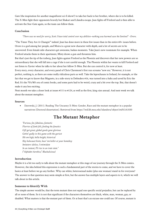Gate (the inspiration for another magnificent sci-fi show?) to take her back to her brother, where she is to be killed. The X-Men fight their opponents bravely but Shakari and Lilandra escape. Jean fights off Firelord and is then able to activate the Star-Gate again, so the team can follow them.

# **Conclusion**

#### *"There was no need for worry, Scott. I have total control over my abilities--nothing was harmed save the Sentinel" - Ororo.*

"The Times They Are A-Changin'" indeed. Jean has done more in these few issues than in the entire 60+ issues before. Ororo is a god among her people, and Moira is a great new character with depth, and a lot of secrets are to be uncovered. Even female side-characters get awesome, badass moments. Take Jean's new roommate for example. When Firelord attacks them in their apartment, Misty draws a gun and threatens him.

But that's just the tip of the iceberg. Jean fights against Firelord as the Phoenix and discovers that her new powers are so extraordinary that she will fall into a rage if she is not careful enough. The Phoenix within her wants to kill Firelord and not listen to Xavier when he talks to her about her fellow X-Men. But she can control it, for now at least. Every story, every character, and every panel of Chris Claremont's first run screams "new era." However, it is not perfect, nothing is, as there are some really ridiculous parts as well. Take the leprechauns in Ireland, for example, or the fact that we get to know that Magneto, in a side-story in Defenders #16, was turned into a baby and saved by Eric the Red. It's the 70's/80's era of comic books, and some parts had to be weird, crazy and a bit over the top. But, that doesn't make it any less exciting.

Next month we take a closer look at issues #111 to #124, as well as the first, king-size annual. And next week we talk about the mutant metaphor.

#### **Sources**

**•** Darowski, J. (2011). Reading The Uncanny X-Men: Gender, Race and the mutant metaphor in a popular narrativen (Doctoral dissertation). Retrieved from https://etd.lib.msu.edu/islandora/object/etd%3A1030

# **The Mutant Metaphor**

*"Furious, fat, fabulous, fantastic Flurries of funk felt, feeding the fanatics Gift got great, global goods gone glorious Gettin' godly in this game with the goriest Hit em high, hella height, historical Hey holocaust hints, hear 'em holler at your homeboy Imitators idolize, I intimidate In an instant, I'll rise in an irate state." ("Alphabet Aerobics," Blackalicious)*

# **Introduction**

Maybe it is a bit too early to talk about the mutant metaphor at this stage of our journey through the X-Men comics. However, the idea behind this expression is such a fundamental part of the stories to come, and we have to cover the basics at least before we go any further. Why can white, heterosexual males (plus one woman) stand-in for everyone? The answer to that question may seem simple at first, but the answer has multiple layers and aspects to it, which we will talk about in this article.

#### **Someone to Identify With**

The simple answer would be, that the term mutant does not equal one specific social prejudice, but can be replaced by all or none of them. So it is not that significant if the characters themselves are black, white, man, woman, gay, or disabled. What matters is that the mutant part of them. Or at least that's an excuse one could use. Of course, mutant is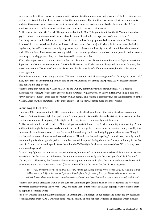interchangeable with gay, as we have seen in past reviews. Still, their appearance matters as well. The first thing we see on the cover is not that they have powers or that they are mutants. The first thing we notice is that the white man is wielding those powers and because we live in a world where one has to declare openly, that he or she is LGBTQ or whatever in between--otherwise we consider them to be heterosexual. It is the norm.

As Dussere writes in his 2017 article The queer world of the X-Men, "The point is not that the X-Men are themselves gay. […] allows the adolescent reader to see his or her own alienation in the experiences of these characters"

One thing that makes the X-Men such relatable characters, at least in my opinion, is their sheer number. There are dozens of characters who have, had, or will have their own series. Every major X-Men title features a team, be it the regular one, the X-Force, or another subgroup. You can pick the one you identify most with and follow them around with different titles. The chances are pretty good that the character you have chosen has at some point in their existence become part of a bigger storyline, or at least featured in numerous titles.

With other superheroes, it is rather binary: either you like them or not. Either you read Batman or Captain America or Superman or Vision or whoever, or not. It is simple. However, the X-Men are and always will be a team. Granted, the latest incarnation of Detective Comics and Superman also feature a lot of different characters, but that is beside the point right now.

The X-Men are much more than just a team. They are a community which sticks together: "All for one, and one for all." They have more or less matching clothes, take on other names and live among their people. As we discussed earlier, they behave like drag people.

Another thing that makes the X-Men relatable to the LGBTQ community is their mutancy itself. It is a hidden difference. Of course, there are some exceptions like Mystique, Nightcrawler, or, later on, Hank (when he is blue and furry). However, most of them pass as ordinary human beings. This feature is especially true for the first iteration of the X-Men. Later on, their mutations, as the three examples above show, became more and more visible.

#### **Something to Fight For**

Question: What do women, the LGBTQ community, as well as black people and other minorities have in common? Answer: Their continuous fight for equal rights. At some point in history, they formed a civil rights movement, with a considerable number of subgroups. They fight for their rights and tell you exactly what they want.

As Darius writes in his article X-Men is Not an allegory of racial tolerance, the X-Men do not fight for anything. Again, at this point, it might be too soon to talk about it, but until I have gathered some more information on my own (by that I mean read a couple more issues), I take Darius' opinion seriously. He has an intriguing point when he says: "They do not demand representation or an end to discrimination. They do not demand anything." Up until now, the only time I saw them fight for their rights in politics or similar channels happened during the movies (most prominently in the first one). So far the comics say the public fears them, but the X-Men fight for themselves nevertheless. What do they do to end those allegations?

Granted they fight for the humans and respect authority, but most of the mutants seem to be evil. Moreover, as we saw especially in the first iteration of the team, the mutant community is mostly split "between 'good' and 'bad' factions" (Darius, 2002). The fact is, that "mutants almost never support mutant civil rights; there is no such noticeable peaceful movement in the comic books even today" (Darius, 2002). What is the reason for that? Darius suggests:

*"But it's hard to implement this in a line of 20 books a month, generating massive profit for the company. Also, the fans of X-Men would probably rather not see Cyclops in Birmingham jail for twenty issues, orX-Men take on more the tone ofStuck Rubber Baby than the easier dichotomy between "good" and "bad," told with a copious dose of spandex fetishism."*

Another part of this discussion would be the cure for the mutant gene (as it is called in later issues) and the Holocaust references especially during the storyline "Days of Future Past." But those are such huge topics; I want to discuss them in-depth in a separate article.

For now, we keep in mind that mutant can mean anything that is not right in our society and symbolize any reason for feeling alienated from it. As Darowski puts it: "racism, sexism, or homophobia are forms or prejudice which alienate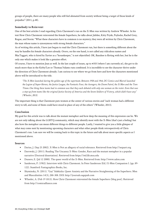groups of people, there are many people who still feel alienated from society without being a target of those kinds of prejudice" (2011, p.48).

# **Somebody to Reinvent**

One of the best articles I read regarding Chris Claremont's run on the X-Men was written by Andrew Wheeler. In his text How Chris Claremont reinvented the female Superhero, he talks about Jubilee, Kitty Pryde, Psylocke, Rachel Grey, Rogue, and Storm: "What these characters have in common is no mystery; they were all written by Chris Claremont, the man whose name is synonymous with strong female characters."

As of writing this article, I have just begun to read the Chris Claremont run, but there is something different about the way he handles his female characters already. Ororo, on the one hand, is not called any ridiculous names and MacTaggart, who is hired by Xavier as a "housekeeper," is not objectified. OK, Banshee is flirting with her, but he is the only one which makes it look like a genuine effort.

Of course, I have to mention Jean as well. In the last couple of issues, up to #103 (where I am currently at), she got to do much more than in the Kirby/Lee or Thomas/Adams runs combined. It is incredible to see the character thrive under the direction of Chris Claremont already. I am curious to see where we go from here and how the characters mentioned above will be introduced to the title.

*"The X-Men launched during the golden age of the superteam. Between 1958 and 1964, DC Comics and Marvel launched the Legion of Super-Heroes, the Justice League, the Fantastic Four, the Avengers, the Doom Patrol, the X-Men and the Teen Titans. One thing these teams had in common was that they each debuted with only one woman on the roster. Even that was a step-up from teams like the original Justice Society of America and the Seven Soldiers of Victory, which didn't have any" (Wheeler, 2013).*

The important thing is that Claremont puts women at the center of various stories and "each woman had a different story to tell, and none of them could have stood in place of any of the others" (Wheeler, 2013).

# **Conclusion**

My goal for this article was to talk about the mutant metaphor and how deep the meaning of this expression can be. We are not only talking about the LGBTQ community, which may identify most with the X-Men (that's just a feeling) but also how the metaphor can mean different things to different people. Lastly, I wanted to give you a little glimpse of what may come next by mentioning upcoming characters and what other people think retrospectively of Chris Claremont's run. I am sure we will be coming back to this topic in the future and talk about more specific aspects as I mentioned above.

# **Sources**

- Darius, J. (Sep 25 2002). X-Men is Not an allegory of racial tolerance. Retrieved from http://sequart.org
- **EXECUTE:** Darowski, J. (2011). Reading The Uncanny X-Men: Gender, Race and the mutant metaphor in a popular narrative (Doctoral dissertation). Retrieved from https://etd.lib.msu.edu
- Dussere, E. (Jul 12 2000). The queer world of the X-Men. Retrieved from: http://www.salon.com
- Sanderson, P. (1982). Interview with Chris Claremont. In Peter Sanderson (Ed.) X-Men Companion I. (pp. 89- 122). Stamford: Fantagraphics Books, Inc.
- Shyminsky, N. (2011). "Gay" Sidekicks: Queer Anxiety and the Narrative Straightening of the Superhero. Men and Masculinities 14(3), 288-308. DOI: http://journals.sagepub.com
- Wheeler, A. (Feb 19 1013). How Chris Claremont reinvented the female Superhero [blog post]. Retrieved from http://comicsalliance.com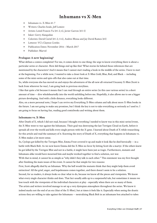# **Inhumans vs X-Men**

- Inhumans vs. X-Men #1-7
- Writers: Charles Soule, Jeff Lemire
- Artists: Leinil Francis Yu (#1-2; 6), Javier Garron (#3-5)
- **■** Inker: Gerry Alanguilan
- Colorists: David Curiel (#1-2; 4-6), Andres Mossa and Jay David Ramos (#3)
- **EXECT: VC's Clayton Cowles**
- Publication Dates: November 2016 March 2017
- Publisher: Marvel

# **Prologue: A new beginning?**

What defines a comics completist? For me, it comes down to one thing: the urge to know everything there is about a particular series or character. How did things end up like this? What stories lie behind those references that are mentioned by the characters? And it means that I cannot start reading a book in the middle of the series. I have to start at the beginning. For a while now, I wanted to take a closer look at X-Men Gold, Blue, Red, and Black -- including some of the mini-series and spin-offs that also came out at that time.

So, while everyone else has moved on and enjoys the adventures of the all-new all-returned Uncanny X-Men (Scott is back from wherever he was), I am going back to previous storylines.

I like that quite a bit because it means that I can read through an entire series (in this case various series) in a short amount of time -- dive wholeheartedly into the world unfolding before me. Hopefully, it also allows me to see a bigger picture developing. And with a little distance, everything looks different.

Also, on a more personal note, I hope I can revive my Everything X-Men column and talk about more X-Men books in the future. I am not going to make any promises, but I think the key is not to take everything as seriously as I used to. I am going to focus on having fun, reading good comicbooks and writing about them.

# **Inhumans vs. X-Men**

After Death of X, which I did not read, because I thought everything I needed to know was in this mini-series/event, the X-Men went to war against the Inhumans. Their goal was destroying the last Terrigen Cloud on Earth, before it spreads all over the world and kills every single person with the X-gene. I learned about Death of X while researching for this article and read the summary of it. Knowing the story of Death of X, everything that happens in Inhumans vs. X-Men makes a lot more sense.

So, Cyclops got killed by the Terrigen Mist, Emma Frost covered it up and made it look like he died heroically -- in a battle with Black Bolt. As we now know Emma did the X-Men no favor by letting Scott die a martyr. If the others knew he got killed by the Terrigen Mist and not in a battle, it might have been just as tragic. Furthermore, mutants and Inhumans alike would have mourned him and maybe worked together to find a solution, not war.

With that in mind, it cannot be as simple as "why didn't they talk to each other." This statement was my first thought after finishing the main issues of the event. It cannot be that simple for two reasons:

First, Scott allegedly died by an Inhuman. Why the hell would the mutants think that they might help them avoid extinction? All the grief, anger, and hopelessness comes together, and there doesn't seem to be a solution.

Second, for us readers, it always looks so clear what to do, because we know all the pieces and viewpoints. We know what every single character thinks and does. That fact usually adds up to a suspenseful tale, but sometimes it means we lose touch with the viewpoints of the individual characters at play - especially when there are so many of them.

The artists and writers involved manage to set up a very dystopian atmosphere throughout the series. We know it indeed marks not the end of an era (that of the X-Men), but at times it feels like it. Especially when seeing the drastic actions they are willing to take against the Inhumans -- neutralizing Black Bolt in an inhumane box attached to tubes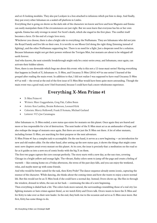and sci-fi-looking modules. They also put Lockjaw in a box attached to infusions which put him to sleep. And finally, they put every other Inhuman on a sealed-off platform in Limbo.

Everything that is going on shows us the dark side of the characters we know and love and how Magneto and Emma can easily manipulate them if the circumstances are just right. But we soon learn that everyone has his or her own agenda. Emma has only revenge in mind. For Scott's death, which she staged in the first place. The conflict itself becomes a farce. Or the end of a tragic love story.

Whichever you choose, there is also a bright side to everything: the NuHumans. They are Inhumans who did not join the Royal Family and live life on their own. It is terrific to see Moon Girl doing the right thing (listening instead of fighting), and the other NuHumans supporting her. There is no need for a fight. Just a desperate need for a solution. Because Inhumans might not get their powers without the Terrigen Mist, but mutants are about to be whipped off earth forever.

And who knows, the next scientific breakthrough might only be a mini-series away, and Inhumans, once again, can activate their hidden talents.

Now, there is one downside which bugs me about this event: why is this not a 12-issue maxi-series? Having everything that happens in Death of X, Inhumans vs. X-Men, and Uncanny X-Men (2016) #19 in one series? I learned of the prequel after reading the main event. In addition to that, I did not realize I was supposed to have read Uncanny X-Men #19 as well -- the reveal at the end of the first issue of X-Men Blue would have been quite more astounding. Though the main event was a good read, now I feel frustrated, because I could have had a more wholesome experience.

# **Everything X-Men Prime #1**

- X-Men Prime #1
- Writers: Marc Guggenheim, Greg Pak, Cullen Bunn
- Artists: Ken Lashley, Ibraim Roberson, Leonard Kirk
- Colorists: Morry Hollowell, Frank D'Armata, Michael Garland
- **EXECT: VC's Joe Caramagna**

After Inhumans vs. X-Men ended, a new status quo exists for mutants on this planet. Once again they are feared and more or less responsible for a lot of destruction. The next leader of the X-Men must act as an ambassador of hope, and also reshape the image of mutants once again. But there are not just the X-Men out there. A lot of other mutants, including former X-Men, are searching for their purpose or the next adventure.

X-Men Prime #1 has a complex task to accomplish. On the one hand, it serves as a new beginning — an introduction for new and old readers alike. On the other hand, after setting up the new status quo, it shows the things that might come next: new chapters await every mutant on this planet. At its core, the issue is precisely that: a meditation on the road so far as it guides us into a new era of comic books with the big X on them.

The first two pages capture the core concept perfectly. The story starts with a new day, as the sun rises, covering Chicago in a bright yellow and orange light. The vibrant, flashy colors seem to jump off the page and create a feeling of warmth -- like coming home on a Friday afternoon, the stress of the past days falls, and you can enjoy the weekend, relax, and maybe meet up with some friends.

And who would be better suited for the task, then Kitty Pride? The dance-sequence already seems iconic, capturing the essence of the character. While dancing, she thinks about the coming times and how she wants to enjoy a more normal life. But this would not be an X-Men book if she could have a normal day. Instead, Ororo shows up. She flies in through the window, dressed in white, the sun on her back -- continuing the idea of a new beginning.

Then everything is dialed back a bit. The colors look more natural, the surroundings resembling those of a real city (no fighting mutants or hate crimes against them), as we watch Kitty and Ororo talk. Ororo wants to leave the X-Men and for Kitty to take over as their new leader. In the end, they both rise to the occasion and serve as X-Men once more. But first, Kitty has some things to do.